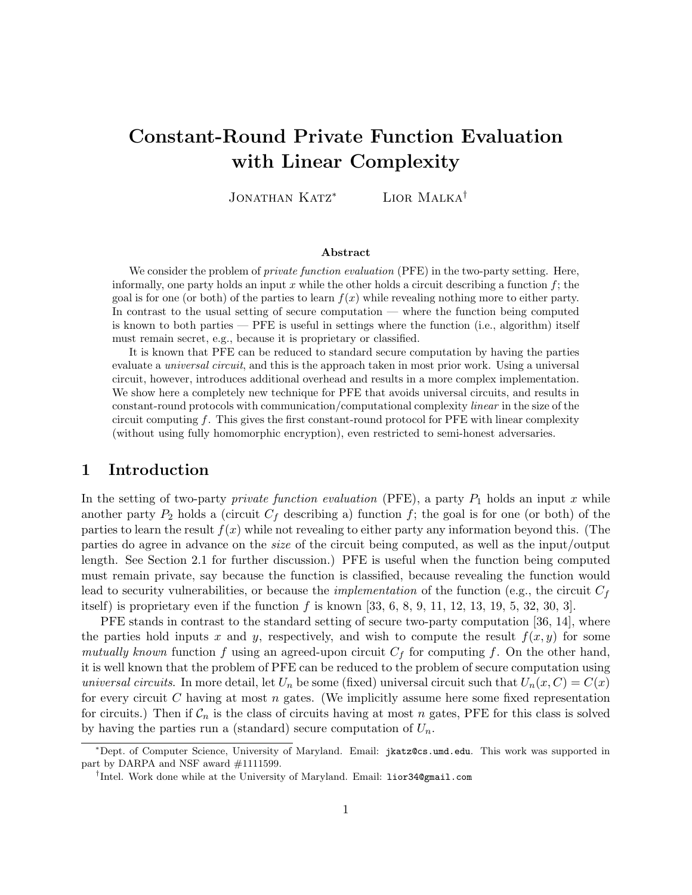# Constant-Round Private Function Evaluation with Linear Complexity

JONATHAN KATZ<sup>\*</sup> LIOR MALKA<sup>†</sup>

#### Abstract

We consider the problem of *private function evaluation* (PFE) in the two-party setting. Here, informally, one party holds an input  $x$  while the other holds a circuit describing a function  $f$ ; the goal is for one (or both) of the parties to learn  $f(x)$  while revealing nothing more to either party. In contrast to the usual setting of secure computation — where the function being computed is known to both parties — PFE is useful in settings where the function (i.e., algorithm) itself must remain secret, e.g., because it is proprietary or classified.

It is known that PFE can be reduced to standard secure computation by having the parties evaluate a universal circuit, and this is the approach taken in most prior work. Using a universal circuit, however, introduces additional overhead and results in a more complex implementation. We show here a completely new technique for PFE that avoids universal circuits, and results in constant-round protocols with communication/computational complexity linear in the size of the circuit computing  $f$ . This gives the first constant-round protocol for PFE with linear complexity (without using fully homomorphic encryption), even restricted to semi-honest adversaries.

### 1 Introduction

In the setting of two-party *private function evaluation* (PFE), a party  $P_1$  holds an input x while another party  $P_2$  holds a (circuit  $C_f$  describing a) function f; the goal is for one (or both) of the parties to learn the result  $f(x)$  while not revealing to either party any information beyond this. (The parties do agree in advance on the size of the circuit being computed, as well as the input/output length. See Section 2.1 for further discussion.) PFE is useful when the function being computed must remain private, say because the function is classified, because revealing the function would lead to security vulnerabilities, or because the *implementation* of the function (e.g., the circuit  $C_f$ itself) is proprietary even if the function f is known [33, 6, 8, 9, 11, 12, 13, 19, 5, 32, 30, 3].

PFE stands in contrast to the standard setting of secure two-party computation [36, 14], where the parties hold inputs x and y, respectively, and wish to compute the result  $f(x, y)$  for some mutually known function f using an agreed-upon circuit  $C_f$  for computing f. On the other hand, it is well known that the problem of PFE can be reduced to the problem of secure computation using universal circuits. In more detail, let  $U_n$  be some (fixed) universal circuit such that  $U_n(x, C) = C(x)$ for every circuit  $C$  having at most  $n$  gates. (We implicitly assume here some fixed representation for circuits.) Then if  $C_n$  is the class of circuits having at most n gates, PFE for this class is solved by having the parties run a (standard) secure computation of  $U_n$ .

<sup>∗</sup>Dept. of Computer Science, University of Maryland. Email: jkatz@cs.umd.edu. This work was supported in part by DARPA and NSF award #1111599.

<sup>†</sup> Intel. Work done while at the University of Maryland. Email: lior34@gmail.com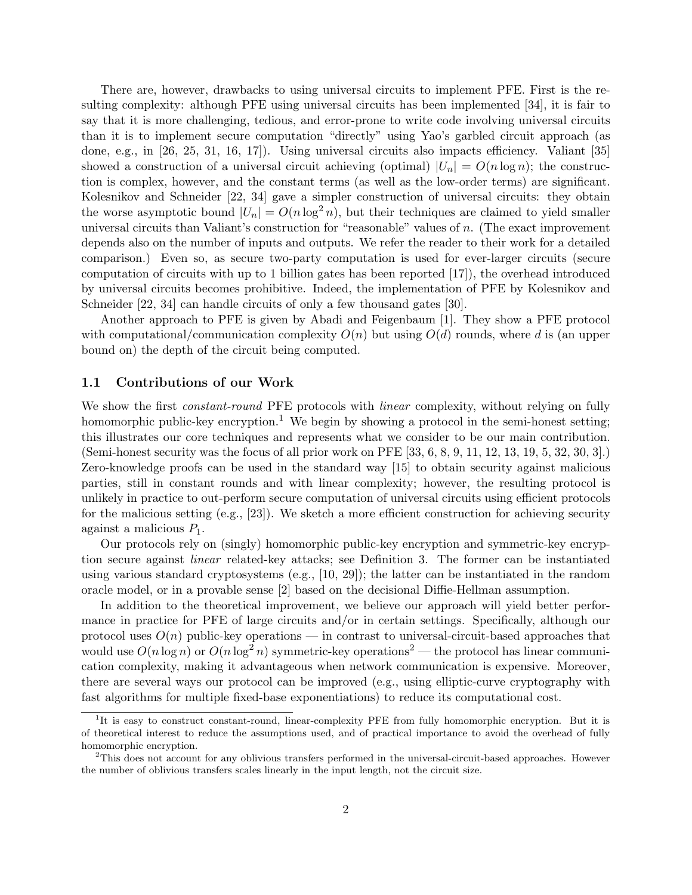There are, however, drawbacks to using universal circuits to implement PFE. First is the resulting complexity: although PFE using universal circuits has been implemented [34], it is fair to say that it is more challenging, tedious, and error-prone to write code involving universal circuits than it is to implement secure computation "directly" using Yao's garbled circuit approach (as done, e.g., in [26, 25, 31, 16, 17]). Using universal circuits also impacts efficiency. Valiant [35] showed a construction of a universal circuit achieving (optimal)  $|U_n| = O(n \log n)$ ; the construction is complex, however, and the constant terms (as well as the low-order terms) are significant. Kolesnikov and Schneider [22, 34] gave a simpler construction of universal circuits: they obtain the worse asymptotic bound  $|U_n| = O(n \log^2 n)$ , but their techniques are claimed to yield smaller universal circuits than Valiant's construction for "reasonable" values of n. (The exact improvement depends also on the number of inputs and outputs. We refer the reader to their work for a detailed comparison.) Even so, as secure two-party computation is used for ever-larger circuits (secure computation of circuits with up to 1 billion gates has been reported [17]), the overhead introduced by universal circuits becomes prohibitive. Indeed, the implementation of PFE by Kolesnikov and Schneider [22, 34] can handle circuits of only a few thousand gates [30].

Another approach to PFE is given by Abadi and Feigenbaum [1]. They show a PFE protocol with computational/communication complexity  $O(n)$  but using  $O(d)$  rounds, where d is (an upper bound on) the depth of the circuit being computed.

### 1.1 Contributions of our Work

We show the first *constant-round* PFE protocols with *linear* complexity, without relying on fully homomorphic public-key encryption.<sup>1</sup> We begin by showing a protocol in the semi-honest setting; this illustrates our core techniques and represents what we consider to be our main contribution. (Semi-honest security was the focus of all prior work on PFE [33, 6, 8, 9, 11, 12, 13, 19, 5, 32, 30, 3].) Zero-knowledge proofs can be used in the standard way [15] to obtain security against malicious parties, still in constant rounds and with linear complexity; however, the resulting protocol is unlikely in practice to out-perform secure computation of universal circuits using efficient protocols for the malicious setting  $(e.g., [23])$ . We sketch a more efficient construction for achieving security against a malicious  $P_1$ .

Our protocols rely on (singly) homomorphic public-key encryption and symmetric-key encryption secure against linear related-key attacks; see Definition 3. The former can be instantiated using various standard cryptosystems (e.g., [10, 29]); the latter can be instantiated in the random oracle model, or in a provable sense [2] based on the decisional Diffie-Hellman assumption.

In addition to the theoretical improvement, we believe our approach will yield better performance in practice for PFE of large circuits and/or in certain settings. Specifically, although our protocol uses  $O(n)$  public-key operations — in contrast to universal-circuit-based approaches that would use  $O(n \log n)$  or  $O(n \log^2 n)$  symmetric-key operations<sup>2</sup> — the protocol has linear communication complexity, making it advantageous when network communication is expensive. Moreover, there are several ways our protocol can be improved (e.g., using elliptic-curve cryptography with fast algorithms for multiple fixed-base exponentiations) to reduce its computational cost.

<sup>&</sup>lt;sup>1</sup>It is easy to construct constant-round, linear-complexity PFE from fully homomorphic encryption. But it is of theoretical interest to reduce the assumptions used, and of practical importance to avoid the overhead of fully homomorphic encryption.

<sup>2</sup>This does not account for any oblivious transfers performed in the universal-circuit-based approaches. However the number of oblivious transfers scales linearly in the input length, not the circuit size.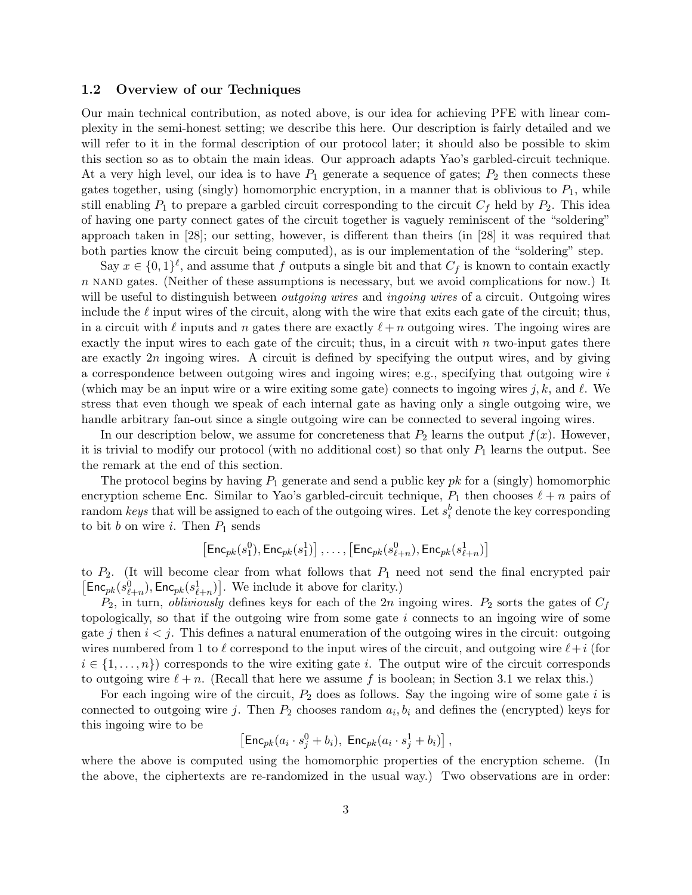### 1.2 Overview of our Techniques

Our main technical contribution, as noted above, is our idea for achieving PFE with linear complexity in the semi-honest setting; we describe this here. Our description is fairly detailed and we will refer to it in the formal description of our protocol later; it should also be possible to skim this section so as to obtain the main ideas. Our approach adapts Yao's garbled-circuit technique. At a very high level, our idea is to have  $P_1$  generate a sequence of gates;  $P_2$  then connects these gates together, using (singly) homomorphic encryption, in a manner that is oblivious to  $P_1$ , while still enabling  $P_1$  to prepare a garbled circuit corresponding to the circuit  $C_f$  held by  $P_2$ . This idea of having one party connect gates of the circuit together is vaguely reminiscent of the "soldering" approach taken in [28]; our setting, however, is different than theirs (in [28] it was required that both parties know the circuit being computed), as is our implementation of the "soldering" step.

Say  $x \in \{0,1\}^{\ell}$ , and assume that f outputs a single bit and that  $C_f$  is known to contain exactly  $n$  nand gates. (Neither of these assumptions is necessary, but we avoid complications for now.) It will be useful to distinguish between *outgoing wires* and *ingoing wires* of a circuit. Outgoing wires include the  $\ell$  input wires of the circuit, along with the wire that exits each gate of the circuit; thus, in a circuit with  $\ell$  inputs and n gates there are exactly  $\ell + n$  outgoing wires. The ingoing wires are exactly the input wires to each gate of the circuit; thus, in a circuit with  $n$  two-input gates there are exactly  $2n$  ingoing wires. A circuit is defined by specifying the output wires, and by giving a correspondence between outgoing wires and ingoing wires; e.g., specifying that outgoing wire i (which may be an input wire or a wire exiting some gate) connects to ingoing wires j, k, and  $\ell$ . We stress that even though we speak of each internal gate as having only a single outgoing wire, we handle arbitrary fan-out since a single outgoing wire can be connected to several ingoing wires.

In our description below, we assume for concreteness that  $P_2$  learns the output  $f(x)$ . However, it is trivial to modify our protocol (with no additional cost) so that only  $P_1$  learns the output. See the remark at the end of this section.

The protocol begins by having  $P_1$  generate and send a public key pk for a (singly) homomorphic encryption scheme Enc. Similar to Yao's garbled-circuit technique,  $P_1$  then chooses  $\ell + n$  pairs of random keys that will be assigned to each of the outgoing wires. Let  $s_i^b$  denote the key corresponding to bit b on wire i. Then  $P_1$  sends

$$
\left[{\mathsf{Enc}}_{pk}(s^0_1),{\mathsf{Enc}}_{pk}(s^1_1)\right],\ldots,\left[{\mathsf{Enc}}_{pk}(s^0_{\ell+n}),{\mathsf{Enc}}_{pk}(s^1_{\ell+n})\right]
$$

to  $P_2$ . (It will become clear from what follows that  $P_1$  need not send the final encrypted pair  $\mathsf{Enc}_{pk}(s_{\ell+n}^0), \mathsf{Enc}_{pk}(s_{\ell+n}^1)].$  We include it above for clarity.)

 $P_2$ , in turn, *obliviously* defines keys for each of the 2n ingoing wires.  $P_2$  sorts the gates of  $C_f$ topologically, so that if the outgoing wire from some gate  $i$  connects to an ingoing wire of some gate j then  $i < j$ . This defines a natural enumeration of the outgoing wires in the circuit: outgoing wires numbered from 1 to  $\ell$  correspond to the input wires of the circuit, and outgoing wire  $\ell+i$  (for  $i \in \{1, \ldots, n\}$  corresponds to the wire exiting gate i. The output wire of the circuit corresponds to outgoing wire  $\ell + n$ . (Recall that here we assume f is boolean; in Section 3.1 we relax this.)

For each ingoing wire of the circuit,  $P_2$  does as follows. Say the ingoing wire of some gate i is connected to outgoing wire j. Then  $P_2$  chooses random  $a_i, b_i$  and defines the (encrypted) keys for this ingoing wire to be £ ¤

$$
[\mathsf{Enc}_{pk}(a_i \cdot s_j^0 + b_i), \ \mathsf{Enc}_{pk}(a_i \cdot s_j^1 + b_i)] ,
$$

where the above is computed using the homomorphic properties of the encryption scheme. (In the above, the ciphertexts are re-randomized in the usual way.) Two observations are in order: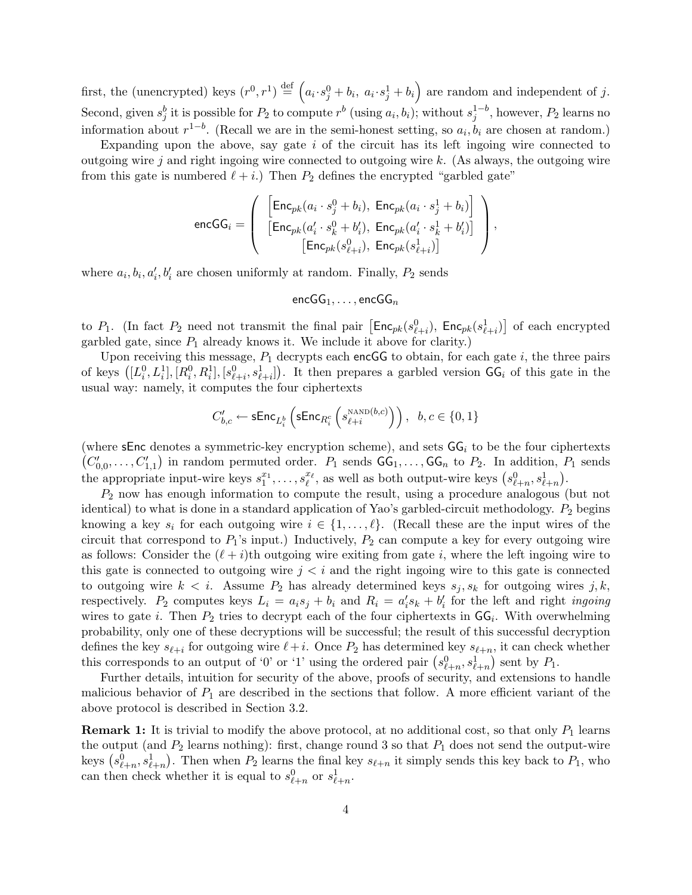first, the (unencrypted) keys  $(r^0, r^1) \stackrel{\text{def}}{=}$  $\overline{a}$  $a_i \cdot s_j^0 + b_i, \ a_i \cdot s_j^1 + b_i$ ´ are random and independent of j. Second, given  $s_j^b$  it is possible for  $P_2$  to compute  $r^b$  (using  $a_i, b_i$ ); without  $s_j^{1-b}$ , however,  $P_2$  learns no information about  $r^{1-b}$ . (Recall we are in the semi-honest setting, so  $a_i, b_i$  are chosen at random.)

Expanding upon the above, say gate  $i$  of the circuit has its left ingoing wire connected to outgoing wire j and right ingoing wire connected to outgoing wire  $k$ . (As always, the outgoing wire from this gate is numbered  $\ell + i$ .) Then  $P_2$  defines the encrypted "garbled gate"

$$
\texttt{encGG}_i = \left(\begin{array}{c}\left[\texttt{Enc}_{pk}(a_i\cdot s_j^0 + b_i), \ \texttt{Enc}_{pk}(a_i\cdot s_j^1 + b_i)\right] \\ \left[\texttt{Enc}_{pk}(a'_i\cdot s_k^0 + b'_i), \ \texttt{Enc}_{pk}(a'_i\cdot s_k^1 + b'_i)\right] \\ \left[\texttt{Enc}_{pk}(s_{\ell+i}^0), \ \texttt{Enc}_{pk}(s_{\ell+i}^1)\right] \end{array}\right),
$$

where  $a_i, b_i, a'_i, b'_i$  are chosen uniformly at random. Finally,  $P_2$  sends

$$
\mathsf{encGG}_1, \ldots, \mathsf{encGG}_n
$$

to  $P_1$ . (In fact  $P_2$  need not transmit the final pair  $\left[\mathsf{Enc}_{pk}(s_{\ell+i}^0), \ \mathsf{Enc}_{pk}(s_{\ell+i}^1),\ \mathsf{Enc}_{pk}(s_{\ell+i}^1),\ \mathsf{Enc}_{pk}(s_{\ell+i}^1),\ \mathsf{Enc}_{pk}(s_{\ell+i}^1),\ \mathsf{Enc}_{pk}(s_{\ell+i}^1),\ \mathsf{Enc}_{pk}(s_{\ell+i}^1),\ \mathsf{Enc}_{pk}(s_{\ell+i}^1),\ \mathsf{Enc}_{pk}(s_{\ell+i}^1$ ¤ of each encrypted garbled gate, since  $P_1$  already knows it. We include it above for clarity.)

Upon receiving this message,  $P_1$  decrypts each encGG to obtain, for each gate i, the three pairs of keys  $([L_i^0, L_i^1], [R_i^0, R_i^1], [s_{\ell+i}^0, s_{\ell+i}^1])$ . It then prepares a garbled version  $GG_i$  of this gate in the usual way: namely, it computes the four ciphertexts

$$
C'_{b,c} \leftarrow \mathsf{sEnc}_{L_i^b}\left(\mathsf{sEnc}_{R_i^c}\left(s_{\ell+i}^{\textsc{rand}(b,c)}\right)\right), \ \ b,c \in \{0,1\}
$$

(where sEnc denotes a symmetric-key encryption scheme), and sets  $GG_i$  to be the four ciphertexts  $C'_{0,0}, \ldots, C'_{1,1}$  in random permuted order.  $P_1$  sends  $GG_1, \ldots, GG_n$  to  $P_2$ . In addition,  $P_1$  sends ( $\cup_{0,0}$ , ...,  $\cup_{1,1}$ ) in random permuted order.  $r_1$  sends  $\cup_{1,1}$ , ...,  $\cup_{n}$  to  $r_2$ . In addition, r<br>the appropriate input-wire keys  $s_1^{x_1}, \ldots, s_\ell^{x_\ell}$ , as well as both output-wire keys  $(s_{\ell+n}^0, s_{\ell+n}^$ 

 $P_2$  now has enough information to compute the result, using a procedure analogous (but not identical) to what is done in a standard application of Yao's garbled-circuit methodology.  $P_2$  begins knowing a key  $s_i$  for each outgoing wire  $i \in \{1, \ldots, \ell\}$ . (Recall these are the input wires of the circuit that correspond to  $P_1$ 's input.) Inductively,  $P_2$  can compute a key for every outgoing wire as follows: Consider the  $(\ell + i)$ th outgoing wire exiting from gate i, where the left ingoing wire to this gate is connected to outgoing wire  $j < i$  and the right ingoing wire to this gate is connected to outgoing wire  $k < i$ . Assume  $P_2$  has already determined keys  $s_j, s_k$  for outgoing wires j, k, respectively.  $P_2$  computes keys  $L_i = a_i s_j + b_i$  and  $R_i = a'_i s_k + b'_i$  for the left and right *ingoing* wires to gate *i*. Then  $P_2$  tries to decrypt each of the four ciphertexts in  $GG_i$ . With overwhelming probability, only one of these decryptions will be successful; the result of this successful decryption defines the key  $s_{\ell+i}$  for outgoing wire  $\ell+i$ . Once  $P_2$  has determined key  $s_{\ell+n}$ , it can check whether defines the key  $s_{\ell+i}$  for outgoing wire  $\ell + i$ . Once  $F_2$  has determined key  $s_{\ell+n}$ , it can check<br>this corresponds to an output of '0' or '1' using the ordered pair  $(s_{\ell+n}^0, s_{\ell+n}^1)$  sent by  $P_1$ .

Further details, intuition for security of the above, proofs of security, and extensions to handle malicious behavior of  $P_1$  are described in the sections that follow. A more efficient variant of the above protocol is described in Section 3.2.

**Remark 1:** It is trivial to modify the above protocol, at no additional cost, so that only  $P_1$  learns the output (and  $P_2$  learns nothing): first, change round 3 so that  $P_1$  does not send the output-wire the output (and  $P_2$  learns nothing): first, change round 5 so that  $P_1$  does not send the output-wire<br>keys  $(s_{\ell+n}^0, s_{\ell+n}^1)$ . Then when  $P_2$  learns the final key  $s_{\ell+n}$  it simply sends this key back to  $P_1$ , who can then check whether it is equal to  $s_{\ell+n}^0$  or  $s_{\ell+n}^1$ .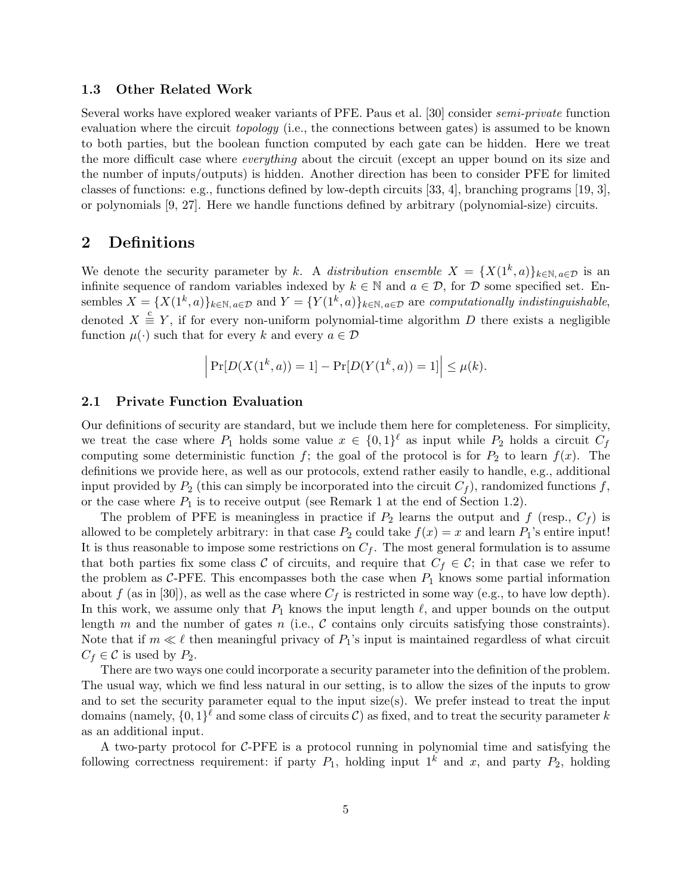### 1.3 Other Related Work

Several works have explored weaker variants of PFE. Paus et al. [30] consider semi-private function evaluation where the circuit *topology* (i.e., the connections between gates) is assumed to be known to both parties, but the boolean function computed by each gate can be hidden. Here we treat the more difficult case where everything about the circuit (except an upper bound on its size and the number of inputs/outputs) is hidden. Another direction has been to consider PFE for limited classes of functions: e.g., functions defined by low-depth circuits [33, 4], branching programs [19, 3], or polynomials [9, 27]. Here we handle functions defined by arbitrary (polynomial-size) circuits.

## 2 Definitions

We denote the security parameter by k. A distribution ensemble  $X = \{X(1^k, a)\}_{k \in \mathbb{N}, a \in \mathcal{D}}$  is an infinite sequence of random variables indexed by  $k \in \mathbb{N}$  and  $a \in \mathcal{D}$ , for  $\mathcal D$  some specified set. Ensembles  $X = \{X(1^k, a)\}_{k \in \mathbb{N}, a \in \mathcal{D}}$  and  $Y = \{Y(1^k, a)\}_{k \in \mathbb{N}, a \in \mathcal{D}}$  are computationally indistinguishable, denoted  $X \triangleq Y$ , if for every non-uniform polynomial-time algorithm D there exists a negligible function  $\mu(\cdot)$  such that for every k and every  $a \in \mathcal{D}$ 

$$
\left| \Pr[D(X(1^k, a)) = 1] - \Pr[D(Y(1^k, a)) = 1] \right| \le \mu(k).
$$

### 2.1 Private Function Evaluation

Our definitions of security are standard, but we include them here for completeness. For simplicity, we treat the case where  $P_1$  holds some value  $x \in \{0,1\}^{\ell}$  as input while  $P_2$  holds a circuit  $C_f$ computing some deterministic function f; the goal of the protocol is for  $P_2$  to learn  $f(x)$ . The definitions we provide here, as well as our protocols, extend rather easily to handle, e.g., additional input provided by  $P_2$  (this can simply be incorporated into the circuit  $C_f$ ), randomized functions f, or the case where  $P_1$  is to receive output (see Remark 1 at the end of Section 1.2).

The problem of PFE is meaningless in practice if  $P_2$  learns the output and f (resp.,  $C_f$ ) is allowed to be completely arbitrary: in that case  $P_2$  could take  $f(x) = x$  and learn  $P_1$ 's entire input! It is thus reasonable to impose some restrictions on  $C_f$ . The most general formulation is to assume that both parties fix some class C of circuits, and require that  $C_f \in \mathcal{C}$ ; in that case we refer to the problem as C-PFE. This encompasses both the case when  $P_1$  knows some partial information about f (as in [30]), as well as the case where  $C_f$  is restricted in some way (e.g., to have low depth). In this work, we assume only that  $P_1$  knows the input length  $\ell$ , and upper bounds on the output length m and the number of gates n (i.e., C contains only circuits satisfying those constraints). Note that if  $m \ll \ell$  then meaningful privacy of  $P_1$ 's input is maintained regardless of what circuit  $C_f \in \mathcal{C}$  is used by  $P_2$ .

There are two ways one could incorporate a security parameter into the definition of the problem. The usual way, which we find less natural in our setting, is to allow the sizes of the inputs to grow and to set the security parameter equal to the input  $size(s)$ . We prefer instead to treat the input domains (namely,  $\{0,1\}^{\ell}$  and some class of circuits C) as fixed, and to treat the security parameter k as an additional input.

A two-party protocol for  $C$ -PFE is a protocol running in polynomial time and satisfying the following correctness requirement: if party  $P_1$ , holding input  $1^k$  and x, and party  $P_2$ , holding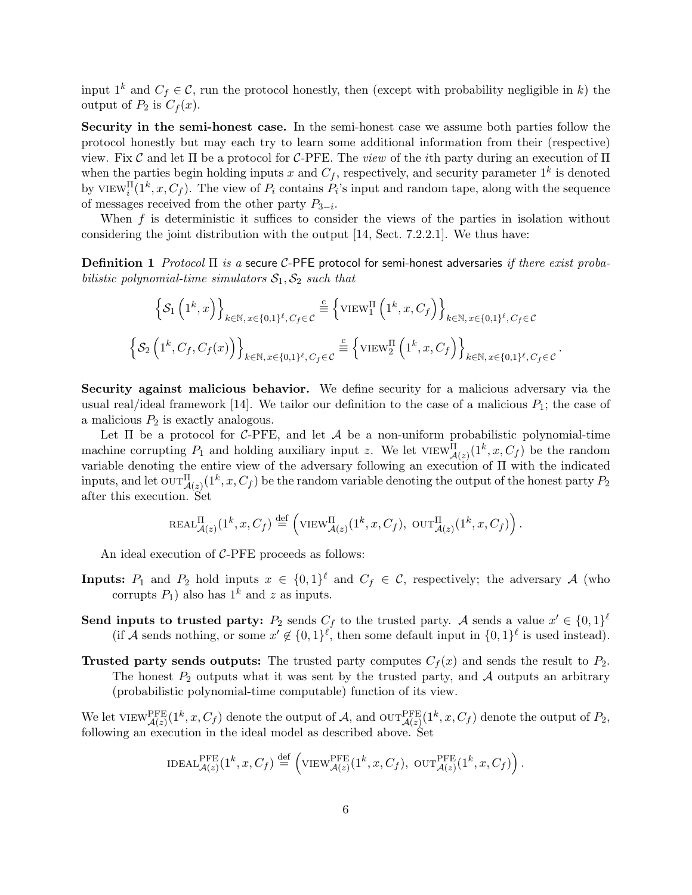input  $1^k$  and  $C_f \in \mathcal{C}$ , run the protocol honestly, then (except with probability negligible in k) the output of  $P_2$  is  $C_f(x)$ .

Security in the semi-honest case. In the semi-honest case we assume both parties follow the protocol honestly but may each try to learn some additional information from their (respective) view. Fix C and let  $\Pi$  be a protocol for C-PFE. The *view* of the *i*th party during an execution of  $\Pi$ when the parties begin holding inputs x and  $C_f$ , respectively, and security parameter  $1^k$  is denoted by VIEW<sup>II</sup> $(1^k, x, C_f)$ . The view of  $P_i$  contains  $P_i$ 's input and random tape, along with the sequence of messages received from the other party  $P_{3-i}$ .

When f is deterministic it suffices to consider the views of the parties in isolation without considering the joint distribution with the output [14, Sect. 7.2.2.1]. We thus have:

Definition 1 Protocol  $\Pi$  is a secure C-PFE protocol for semi-honest adversaries if there exist probabilistic polynomial-time simulators  $S_1, S_2$  such that

$$
\left\{ \mathcal{S}_1 \left( 1^k, x \right) \right\}_{k \in \mathbb{N}, x \in \{0, 1\}^\ell, C_f \in \mathcal{C}} \stackrel{\text{c}}{=} \left\{ \text{VIEW}_1^{\Pi} \left( 1^k, x, C_f \right) \right\}_{k \in \mathbb{N}, x \in \{0, 1\}^\ell, C_f \in \mathcal{C}}
$$
\n
$$
\left\{ \mathcal{S}_2 \left( 1^k, C_f, C_f(x) \right) \right\}_{k \in \mathbb{N}, x \in \{0, 1\}^\ell, C_f \in \mathcal{C}} \stackrel{\text{c}}{=} \left\{ \text{VIEW}_2^{\Pi} \left( 1^k, x, C_f \right) \right\}_{k \in \mathbb{N}, x \in \{0, 1\}^\ell, C_f \in \mathcal{C}}.
$$

Security against malicious behavior. We define security for a malicious adversary via the usual real/ideal framework [14]. We tailor our definition to the case of a malicious  $P_1$ ; the case of a malicious  $P_2$  is exactly analogous.

Let  $\Pi$  be a protocol for C-PFE, and let  $A$  be a non-uniform probabilistic polynomial-time machine corrupting  $P_1$  and holding auxiliary input z. We let  $VIEW_{\mathcal{A}(z)}^{\Pi}(1^k, x, C_f)$  be the random variable denoting the entire view of the adversary following an execution of Π with the indicated inputs, and let  $\text{OUT}_{\mathcal{A}(z)}^{\Pi}(1^k, x, C_f)$  be the random variable denoting the output of the honest party  $P_2$ after this execution. Set

$$
\text{REAL}_{\mathcal{A}(z)}^{\Pi}(1^k, x, C_f) \stackrel{\text{def}}{=} \left(\text{VIEW}_{\mathcal{A}(z)}^{\Pi}(1^k, x, C_f), \text{ OUT}_{\mathcal{A}(z)}^{\Pi}(1^k, x, C_f)\right).
$$

An ideal execution of C-PFE proceeds as follows:

- **Inputs:**  $P_1$  and  $P_2$  hold inputs  $x \in \{0,1\}^{\ell}$  and  $C_f \in \mathcal{C}$ , respectively; the adversary A (who corrupts  $P_1$ ) also has  $1^k$  and z as inputs.
- Send inputs to trusted party:  $P_2$  sends  $C_f$  to the trusted party. A sends a value  $x' \in \{0,1\}^{\ell}$ (if A sends nothing, or some  $x' \notin \{0,1\}^{\ell}$ , then some default input in  $\{0,1\}^{\ell}$  is used instead).
- **Trusted party sends outputs:** The trusted party computes  $C_f(x)$  and sends the result to  $P_2$ . The honest  $P_2$  outputs what it was sent by the trusted party, and A outputs an arbitrary (probabilistic polynomial-time computable) function of its view.

We let  $\text{VIEW}_{\mathcal{A}(z)}^{\text{PFE}}(1^k, x, C_f)$  denote the output of  $\mathcal{A}$ , and  $\text{OUT}_{\mathcal{A}(z)}^{\text{PFE}}(1^k, x, C_f)$  denote the output of  $P_2$ , following an execution in the ideal model as described above. Set

$$
\text{IDEAL}_{\mathcal{A}(z)}^{\text{PFE}}(1^k, x, C_f) \stackrel{\text{def}}{=} \left(\text{VIEW}_{\mathcal{A}(z)}^{\text{PFE}}(1^k, x, C_f), \text{ OUT}_{\mathcal{A}(z)}^{\text{PFE}}(1^k, x, C_f)\right).
$$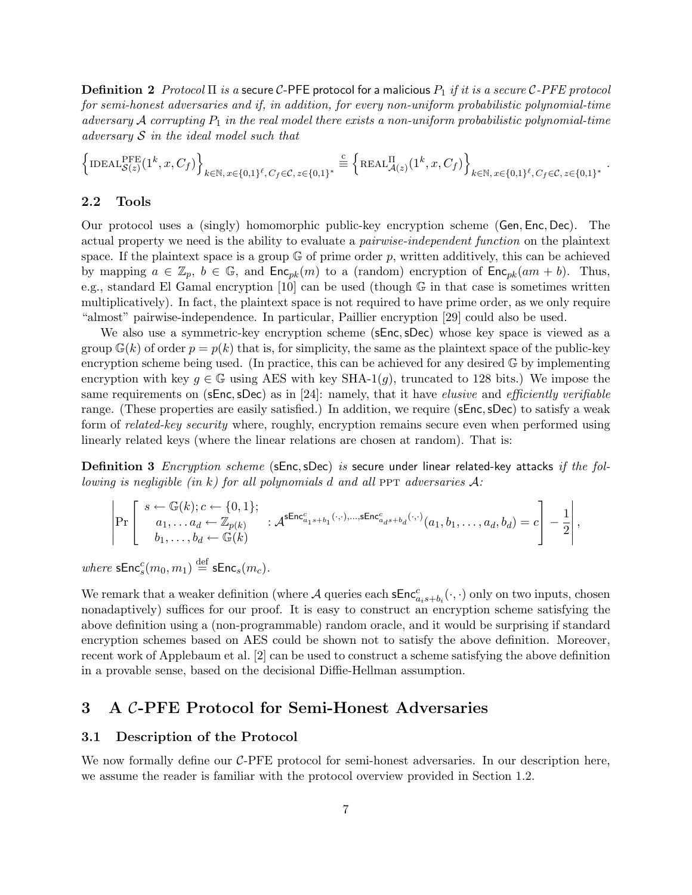**Definition 2** Protocol  $\Pi$  is a secure C-PFE protocol for a malicious  $P_1$  if it is a secure C-PFE protocol for semi-honest adversaries and if, in addition, for every non-uniform probabilistic polynomial-time adversary A corrupting  $P_1$  in the real model there exists a non-uniform probabilistic polynomial-time adversary  $S$  in the ideal model such that

$$
\left\{\mathrm{IDEAL}_{\mathcal{S}(z)}^{\mathrm{PFE}}(1^k,x,C_f)\right\}_{k\in\mathbb{N},x\in\{0,1\}^\ell,C_f\in\mathcal{C},z\in\{0,1\}^*}\stackrel{\text{c}}{=} \left\{\mathrm{REAL}_{\mathcal{A}(z)}^{\Pi}(1^k,x,C_f)\right\}_{k\in\mathbb{N},x\in\{0,1\}^\ell,C_f\in\mathcal{C},z\in\{0,1\}^*}.
$$

### 2.2 Tools

Our protocol uses a (singly) homomorphic public-key encryption scheme (Gen, Enc, Dec). The actual property we need is the ability to evaluate a pairwise-independent function on the plaintext space. If the plaintext space is a group  $\mathbb{G}$  of prime order p, written additively, this can be achieved by mapping  $a \in \mathbb{Z}_p$ ,  $b \in \mathbb{G}$ , and  $\mathsf{Enc}_{pk}(m)$  to a (random) encryption of  $\mathsf{Enc}_{pk}(am + b)$ . Thus, e.g., standard El Gamal encryption [10] can be used (though G in that case is sometimes written multiplicatively). In fact, the plaintext space is not required to have prime order, as we only require "almost" pairwise-independence. In particular, Paillier encryption [29] could also be used.

We also use a symmetric-key encryption scheme (sEnc, sDec) whose key space is viewed as a group  $\mathbb{G}(k)$  of order  $p = p(k)$  that is, for simplicity, the same as the plaintext space of the public-key encryption scheme being used. (In practice, this can be achieved for any desired  $\mathbb{G}$  by implementing encryption with key  $g \in \mathbb{G}$  using AES with key SHA-1(g), truncated to 128 bits.) We impose the same requirements on (sEnc, sDec) as in [24]: namely, that it have *elusive* and *efficiently verifiable* range. (These properties are easily satisfied.) In addition, we require (sEnc,sDec) to satisfy a weak form of related-key security where, roughly, encryption remains secure even when performed using linearly related keys (where the linear relations are chosen at random). That is:

**Definition 3** Encryption scheme (sEnc, sDec) is secure under linear related-key attacks if the following is negligible (in k) for all polynomials d and all PPT adversaries  $\mathcal{A}$ :

$$
\left|\Pr\left[\begin{array}{c} s \leftarrow \mathbb{G}(k); c \leftarrow \{0,1\}; \\ a_1, \ldots a_d \leftarrow \mathbb{Z}_{p(k)} \\ b_1, \ldots, b_d \leftarrow \mathbb{G}(k)\end{array}:\mathcal{A}^{\mathsf{sEnc}^c_{a_1s+b_1}(\cdot,\cdot),\ldots,\mathsf{sEnc}^c_{a_ds+b_d}(\cdot,\cdot)}(a_1, b_1, \ldots, a_d, b_d) = c\right] - \frac{1}{2}\right|,
$$

 $where \; {\sf sEnc}^c_s(m_0,m_1) \stackrel{\rm def}{=} {\sf sEnc}_s(m_c).$ 

We remark that a weaker definition (where  $\mathcal A$  queries each  $\mathsf{sEnc}_{a_i s+b_i}^c(\cdot, \cdot)$  only on two inputs, chosen nonadaptively) suffices for our proof. It is easy to construct an encryption scheme satisfying the above definition using a (non-programmable) random oracle, and it would be surprising if standard encryption schemes based on AES could be shown not to satisfy the above definition. Moreover, recent work of Applebaum et al. [2] can be used to construct a scheme satisfying the above definition in a provable sense, based on the decisional Diffie-Hellman assumption.

# 3 A C-PFE Protocol for Semi-Honest Adversaries

### 3.1 Description of the Protocol

We now formally define our  $C$ -PFE protocol for semi-honest adversaries. In our description here, we assume the reader is familiar with the protocol overview provided in Section 1.2.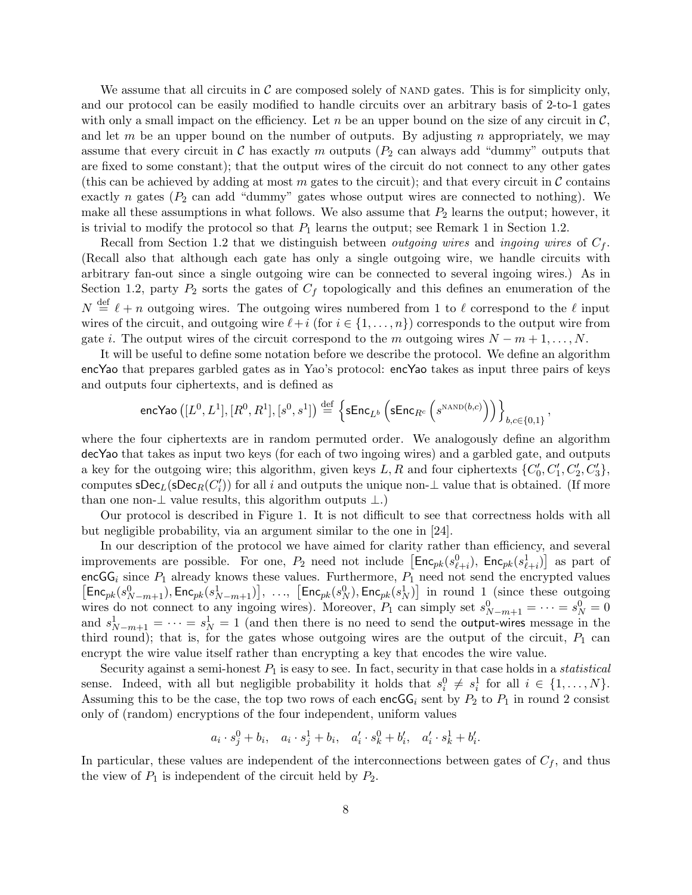We assume that all circuits in  $\mathcal C$  are composed solely of NAND gates. This is for simplicity only, and our protocol can be easily modified to handle circuits over an arbitrary basis of 2-to-1 gates with only a small impact on the efficiency. Let n be an upper bound on the size of any circuit in  $\mathcal{C}$ , and let  $m$  be an upper bound on the number of outputs. By adjusting  $n$  appropriately, we may assume that every circuit in C has exactly m outputs  $(P_2 \text{ can always add "dummy" outputs that})$ are fixed to some constant); that the output wires of the circuit do not connect to any other gates (this can be achieved by adding at most m gates to the circuit); and that every circuit in  $\mathcal C$  contains exactly n gates ( $P_2$  can add "dummy" gates whose output wires are connected to nothing). We make all these assumptions in what follows. We also assume that  $P_2$  learns the output; however, it is trivial to modify the protocol so that  $P_1$  learns the output; see Remark 1 in Section 1.2.

Recall from Section 1.2 that we distinguish between *outgoing wires* and *ingoing wires* of  $C_f$ . (Recall also that although each gate has only a single outgoing wire, we handle circuits with arbitrary fan-out since a single outgoing wire can be connected to several ingoing wires.) As in Section 1.2, party  $P_2$  sorts the gates of  $C_f$  topologically and this defines an enumeration of the  $N \stackrel{\text{def}}{=} \ell + n$  outgoing wires. The outgoing wires numbered from 1 to  $\ell$  correspond to the  $\ell$  input wires of the circuit, and outgoing wire  $\ell+i$  (for  $i \in \{1, \ldots, n\}$ ) corresponds to the output wire from gate i. The output wires of the circuit correspond to the m outgoing wires  $N - m + 1, \ldots, N$ .

It will be useful to define some notation before we describe the protocol. We define an algorithm encYao that prepares garbled gates as in Yao's protocol: encYao takes as input three pairs of keys and outputs four ciphertexts, and is defined as

$$
\mathsf{encYao}\left([L^0,L^1],[R^0,R^1],[s^0,s^1]\right) \stackrel{\mathrm{def}}{=} \left\{ \mathsf{sEnc}_{L^b}\left(\mathsf{sEnc}_{R^c}\left(s^{\textup{NAND}(b,c)}\right)\right) \right\}_{b,c \in \{0,1\}},
$$

where the four ciphertexts are in random permuted order. We analogously define an algorithm decYao that takes as input two keys (for each of two ingoing wires) and a garbled gate, and outputs a key for the outgoing wire; this algorithm, given keys L, R and four ciphertexts  $\{C'_0, C'_1, C'_2, C'_3\}$ , computes  $\mathsf{sDec}_L(\mathsf{sDec}_R(C'_i))$  for all i and outputs the unique non- $\perp$  value that is obtained. (If more than one non- $\perp$  value results, this algorithm outputs  $\perp$ .)

Our protocol is described in Figure 1. It is not difficult to see that correctness holds with all but negligible probability, via an argument similar to the one in [24].

In our description of the protocol we have aimed for clarity rather than efficiency, and several In our description of the protocol we have almed for clarity rather than emclency, and several<br>improvements are possible. For one,  $P_2$  need not include  $\left[ \text{Enc}_{pk}(s_{\ell+i}^0), \text{Enc}_{pk}(s_{\ell+i}^1) \right]$  as part of encGG<sub>i</sub> since  $P_1$  already knows these values. Furthermore,  $P_1$  need not send the encrypted values  $\mathsf{Enc}_{pk}(s_{N-m+1}^0), \mathsf{Enc}_{pk}(s_{N-m+1}^1)], \ldots, [\mathsf{Enc}_{pk}(s_N^0), \mathsf{Enc}_{pk}(s_N^1)]$  in round 1 (since these outgoing wires do not connect to any ingoing wires). Moreover,  $P_1$  can simply set  $s_{N-m+1}^0 = \cdots = s_N^0 = 0$ and  $s_{N-m+1}^1 = \cdots = s_N^1 = 1$  (and then there is no need to send the output-wires message in the third round); that is, for the gates whose outgoing wires are the output of the circuit,  $P_1$  can encrypt the wire value itself rather than encrypting a key that encodes the wire value.

Security against a semi-honest  $P_1$  is easy to see. In fact, security in that case holds in a *statistical* sense. Indeed, with all but negligible probability it holds that  $s_i^0 \neq s_i^1$  for all  $i \in \{1, \ldots, N\}$ . Assuming this to be the case, the top two rows of each encGG<sub>i</sub> sent by  $P_2$  to  $P_1$  in round 2 consist only of (random) encryptions of the four independent, uniform values

$$
a_i \cdot s_j^0 + b_i
$$
,  $a_i \cdot s_j^1 + b_i$ ,  $a'_i \cdot s_k^0 + b'_i$ ,  $a'_i \cdot s_k^1 + b'_i$ .

In particular, these values are independent of the interconnections between gates of  $C_f$ , and thus the view of  $P_1$  is independent of the circuit held by  $P_2$ .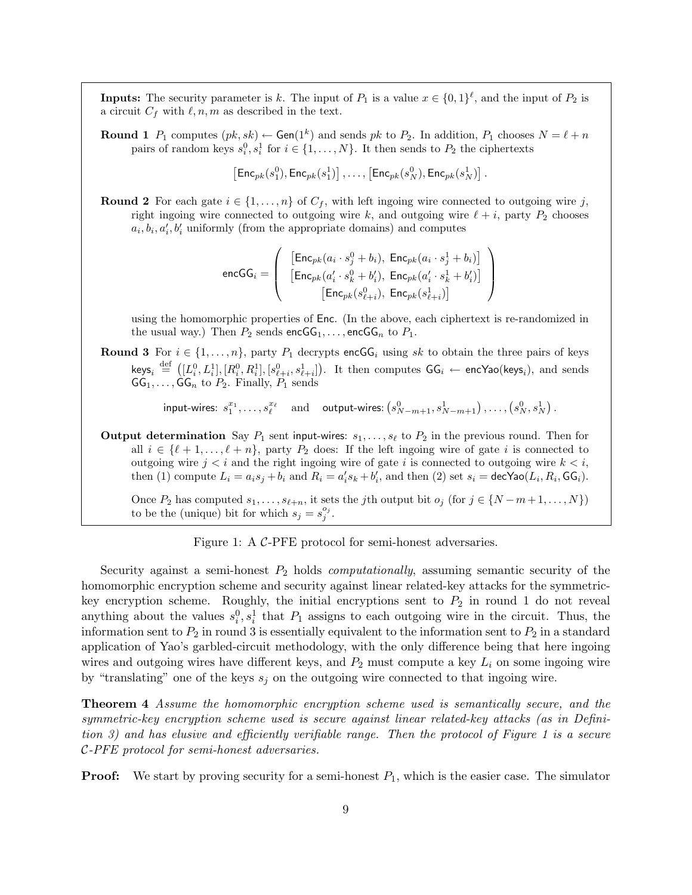**Inputs:** The security parameter is k. The input of  $P_1$  is a value  $x \in \{0,1\}^{\ell}$ , and the input of  $P_2$  is a circuit  $C_f$  with  $\ell, n, m$  as described in the text.

**Round 1**  $P_1$  computes  $(pk, sk) \leftarrow$  Gen(1<sup>k</sup>) and sends pk to  $P_2$ . In addition,  $P_1$  chooses  $N = \ell + n$ pairs of random keys  $s_i^0, s_i^1$  for  $i \in \{1, ..., N\}$ . It then sends to  $P_2$  the ciphertexts

$$
\left[{\mathsf{Enc}}_{pk}(s_1^0), {\mathsf{Enc}}_{pk}(s_1^1)\right], \ldots, \left[{\mathsf{Enc}}_{pk}(s_N^0), {\mathsf{Enc}}_{pk}(s_N^1)\right].
$$

**Round 2** For each gate  $i \in \{1, \ldots, n\}$  of  $C_f$ , with left ingoing wire connected to outgoing wire j, right ingoing wire connected to outgoing wire k, and outgoing wire  $\ell + i$ , party  $P_2$  chooses  $a_i, b_i, a'_i, b'_i$  uniformly (from the appropriate domains) and computes

$$
\texttt{encGG}_i = \left(\begin{array}{c} \left[\mathsf{Enc}_{pk}(a_i \cdot s_j^0 + b_i), \ \mathsf{Enc}_{pk}(a_i \cdot s_j^1 + b_i)\right] \\ \left[\mathsf{Enc}_{pk}(a'_i \cdot s_k^0 + b'_i), \ \mathsf{Enc}_{pk}(a'_i \cdot s_k^1 + b'_i)\right] \\ \left[\mathsf{Enc}_{pk}(s_{\ell+i}^0), \ \mathsf{Enc}_{pk}(s_{\ell+i}^1)\right] \end{array}\right)
$$

using the homomorphic properties of Enc. (In the above, each ciphertext is re-randomized in the usual way.) Then  $P_2$  sends encGG<sub>1</sub>, ..., encGG<sub>n</sub> to  $P_1$ .

Round 3 For  $i \in \{1, ..., n\}$ , party  $P_1$  decrypts encGG<sub>i</sub> using sk to obtain the three pairs of keys  $\text{keys}_i \stackrel{\text{def}}{=}$  (  $[L_i^0, L_i^1], [R_i^0, R_i^1], [s_{\ell+i}^0, s_{\ell+i}^1]$  $\frac{J}{\sqrt{2}}$ . It then computes  $GG_i$  ← encYao(keys<sub>i</sub>), and sends  $GG_1, \ldots, GG_n$  to  $P_2$ . Finally,  $P_1$  sends

> input-wires:  $s_1^{x_1}, \ldots, s_\ell^{x_\ell}$  and output-wires: ¡  $s_{N-m+1}^0, s_{N-m+1}^1), \ldots, \left(s_N^0, s_N^1\right)$ ¢ .

Output determination Say  $P_1$  sent input-wires:  $s_1, \ldots, s_\ell$  to  $P_2$  in the previous round. Then for all  $i \in {\ell + 1, \ldots, \ell + n}$ , party  $P_2$  does: If the left ingoing wire of gate i is connected to outgoing wire  $j < i$  and the right ingoing wire of gate i is connected to outgoing wire  $k < i$ , then (1) compute  $L_i = a_i s_j + b_i$  and  $R_i = a'_i s_k + b'_i$ , and then (2) set  $s_i = \text{decYao}(L_i, R_i, \text{GG}_i)$ .

Once  $P_2$  has computed  $s_1, \ldots, s_{\ell+n}$ , it sets the jth output bit  $o_j$  (for  $j \in \{N-m+1, \ldots, N\}$ ) to be the (unique) bit for which  $s_j = s_j^{o_j}$ .

Figure 1: A C-PFE protocol for semi-honest adversaries.

Security against a semi-honest  $P_2$  holds *computationally*, assuming semantic security of the homomorphic encryption scheme and security against linear related-key attacks for the symmetrickey encryption scheme. Roughly, the initial encryptions sent to  $P_2$  in round 1 do not reveal anything about the values  $s_i^0, s_i^1$  that  $P_1$  assigns to each outgoing wire in the circuit. Thus, the information sent to  $P_2$  in round 3 is essentially equivalent to the information sent to  $P_2$  in a standard application of Yao's garbled-circuit methodology, with the only difference being that here ingoing wires and outgoing wires have different keys, and  $P_2$  must compute a key  $L_i$  on some ingoing wire by "translating" one of the keys  $s_i$  on the outgoing wire connected to that ingoing wire.

Theorem 4 Assume the homomorphic encryption scheme used is semantically secure, and the symmetric-key encryption scheme used is secure against linear related-key attacks (as in Definition 3) and has elusive and efficiently verifiable range. Then the protocol of Figure 1 is a secure C-PFE protocol for semi-honest adversaries.

**Proof:** We start by proving security for a semi-honest  $P_1$ , which is the easier case. The simulator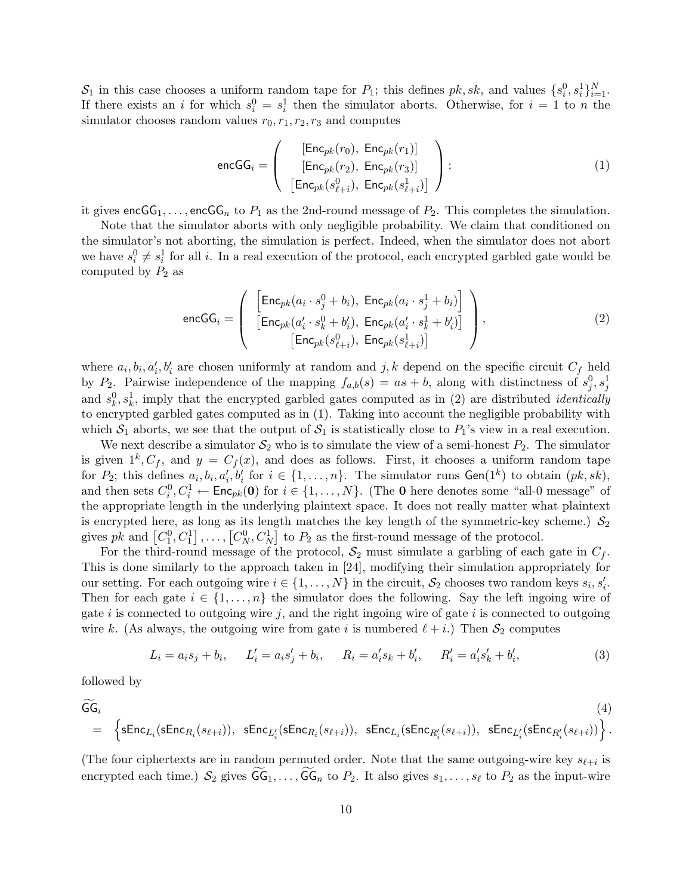$S_1$  in this case chooses a uniform random tape for  $P_1$ ; this defines  $pk, sk$ , and values  $\{s_i^0, s_i^1\}_{i=1}^N$ . If there exists an i for which  $s_i^0 = s_i^1$  then the simulator aborts. Otherwise, for  $i = 1$  to n the simulator chooses random values  $r_0, r_1, r_2, r_3$  and computes

$$
\text{encGG}_i = \left( \begin{array}{c} [\text{Enc}_{pk}(r_0), \ \text{Enc}_{pk}(r_1)] \\ \text{[Enc}_{pk}(r_2), \ \text{Enc}_{pk}(r_3)] \\ \text{[Enc}_{pk}(s_{\ell+i}^0), \ \text{Enc}_{pk}(s_{\ell+i}^1)] \end{array} \right); \tag{1}
$$

it gives encGG<sub>1</sub>,..., encGG<sub>n</sub> to  $P_1$  as the 2nd-round message of  $P_2$ . This completes the simulation.

Note that the simulator aborts with only negligible probability. We claim that conditioned on the simulator's not aborting, the simulation is perfect. Indeed, when the simulator does not abort we have  $s_i^0 \neq s_i^1$  for all i. In a real execution of the protocol, each encrypted garbled gate would be computed by  $P_2$  as

$$
\text{encGG}_{i} = \left( \begin{array}{c} \left[ \text{Enc}_{pk}(a_{i} \cdot s_{j}^{0} + b_{i}), \ \text{Enc}_{pk}(a_{i} \cdot s_{j}^{1} + b_{i}) \right] \\ \left[ \text{Enc}_{pk}(a'_{i} \cdot s_{k}^{0} + b'_{i}), \ \text{Enc}_{pk}(a'_{i} \cdot s_{k}^{1} + b'_{i}) \right] \\ \left[ \text{Enc}_{pk}(s_{\ell+i}^{0}), \ \text{Enc}_{pk}(s_{\ell+i}^{1}) \right] \end{array} \right), \tag{2}
$$

where  $a_i, b_i, a'_i, b'_i$  are chosen uniformly at random and j, k depend on the specific circuit  $C_f$  held by P<sub>2</sub>. Pairwise independence of the mapping  $f_{a,b}(s) = as + b$ , along with distinctness of  $s_j^0, s_j^1$ and  $s_k^0, s_k^1$ , imply that the encrypted garbled gates computed as in (2) are distributed *identically* to encrypted garbled gates computed as in (1). Taking into account the negligible probability with which  $S_1$  aborts, we see that the output of  $S_1$  is statistically close to  $P_1$ 's view in a real execution.

We next describe a simulator  $\mathcal{S}_2$  who is to simulate the view of a semi-honest  $P_2$ . The simulator is given  $1^k$ ,  $C_f$ , and  $y = C_f(x)$ , and does as follows. First, it chooses a uniform random tape for  $P_2$ ; this defines  $a_i, b_i, a'_i, b'_i$  for  $i \in \{1, \ldots, n\}$ . The simulator runs  $\mathsf{Gen}(1^k)$  to obtain  $(pk, sk)$ , and then sets  $C_i^0, C_i^1 \leftarrow \mathsf{Enc}_{pk}(\mathbf{0})$  for  $i \in \{1, ..., N\}$ . (The **0** here denotes some "all-0 message" of the appropriate length in the underlying plaintext space. It does not really matter what plaintext is encrypted here, as long as its length matches the key length of the symmetric-key scheme.)  $S_2$ is encrypted nere, as long as its length matches the key length of the symmetric-key<br>gives pk and  $[C_1^0, C_1^1], \ldots, [C_N^0, C_N^1]$  to  $P_2$  as the first-round message of the protocol.

For the third-round message of the protocol,  $S_2$  must simulate a garbling of each gate in  $C_f$ . This is done similarly to the approach taken in [24], modifying their simulation appropriately for our setting. For each outgoing wire  $i \in \{1, ..., N\}$  in the circuit,  $S_2$  chooses two random keys  $s_i, s'_i$ . Then for each gate  $i \in \{1, \ldots, n\}$  the simulator does the following. Say the left ingoing wire of gate i is connected to outgoing wire j, and the right ingoing wire of gate i is connected to outgoing wire k. (As always, the outgoing wire from gate i is numbered  $(\ell + i)$ ) Then  $\mathcal{S}_2$  computes

$$
L_i = a_i s_j + b_i, \qquad L'_i = a_i s'_j + b_i, \qquad R_i = a'_i s_k + b'_i, \qquad R'_i = a'_i s'_k + b'_i,
$$
\n(3)

.

followed by

$$
\widetilde{\mathsf{GG}}_i \qquad \qquad (4)
$$
\n
$$
= \left\{ \mathsf{sEnc}_{L_i}(\mathsf{sEnc}_{R_i}(s_{\ell+i})), \ \mathsf{sEnc}_{L_i}(\mathsf{sEnc}_{R_i}(s_{\ell+i})), \ \mathsf{sEnc}_{L_i}(\mathsf{sEnc}_{R_i'}(s_{\ell+i})), \ \mathsf{sEnc}_{L_i'}(\mathsf{sEnc}_{R_i'}(s_{\ell+i})) \right\}.
$$

(The four ciphertexts are in random permuted order. Note that the same outgoing-wire key  $s_{\ell+i}$  is encrypted each time.)  $S_2$  gives  $\widetilde{\mathsf{GG}}_1, \ldots, \widetilde{\mathsf{GG}}_n$  to  $P_2$ . It also gives  $s_1, \ldots, s_\ell$  to  $P_2$  as the input-wire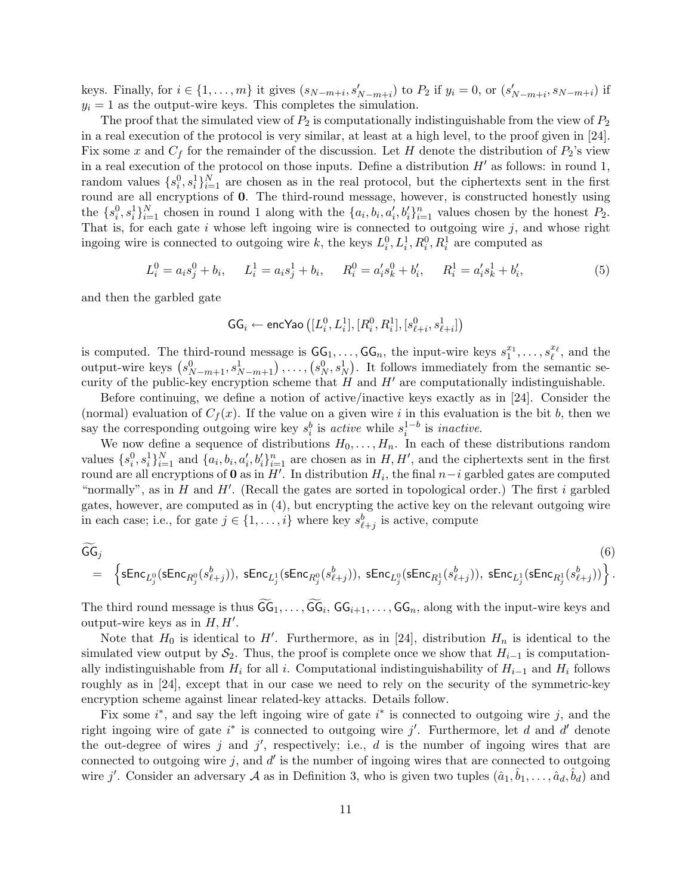keys. Finally, for  $i \in \{1, \ldots, m\}$  it gives  $(s_{N-m+i}, s'_{N-m+i})$  to  $P_2$  if  $y_i = 0$ , or  $(s'_{N-m+i}, s_{N-m+i})$  if  $y_i = 1$  as the output-wire keys. This completes the simulation.

The proof that the simulated view of  $P_2$  is computationally indistinguishable from the view of  $P_2$ in a real execution of the protocol is very similar, at least at a high level, to the proof given in [24]. Fix some x and  $C_f$  for the remainder of the discussion. Let H denote the distribution of  $P_2$ 's view in a real execution of the protocol on those inputs. Define a distribution  $H'$  as follows: in round 1, random values  $\{s_i^0, s_i^1\}_{i=1}^N$  are chosen as in the real protocol, but the ciphertexts sent in the first round are all encryptions of 0. The third-round message, however, is constructed honestly using the  $\{s_i^0, s_i^1\}_{i=1}^N$  chosen in round 1 along with the  $\{a_i, b_i, a'_i, b'_i\}_{i=1}^N$  values chosen by the honest  $P_2$ . That is, for each gate  $i$  whose left ingoing wire is connected to outgoing wire  $j$ , and whose right ingoing wire is connected to outgoing wire k, the keys  $L_i^0, L_i^1, R_i^0, R_i^1$  are computed as

$$
L_i^0 = a_i s_j^0 + b_i, \qquad L_i^1 = a_i s_j^1 + b_i, \qquad R_i^0 = a_i^{\prime} s_k^0 + b_i^{\prime}, \qquad R_i^1 = a_i^{\prime} s_k^1 + b_i^{\prime}, \tag{5}
$$

and then the garbled gate

$$
\mathsf{GG}_i \leftarrow \mathsf{encYao}\left([L_i^0,L_i^1],[R_i^0,R_i^1],[s_{\ell+i}^0,s_{\ell+i}^1]\right)
$$

is computed. The third-round message is  $GG_1, \ldots, GG_n$ , the input-wire keys  $s_1^{x_1}, \ldots, s_\ell^{x_\ell}$ , and the s computed. The third-round message is  $G_1, \ldots, G_n$ , the input-wire keys  $s_1^*, \ldots, s_\ell^*,$  and the output-wire keys  $(s_{N-m+1}^0, s_{N-m+1}^1), \ldots, (s_N^0, s_N^1)$ . It follows immediately from the semantic security of the public-key encryption scheme that  $H$  and  $H'$  are computationally indistinguishable.

Before continuing, we define a notion of active/inactive keys exactly as in [24]. Consider the (normal) evaluation of  $C_f(x)$ . If the value on a given wire i in this evaluation is the bit b, then we say the corresponding outgoing wire key  $s_i^b$  is active while  $s_i^{1-b}$  is *inactive*.

We now define a sequence of distributions  $H_0, \ldots, H_n$ . In each of these distributions random values  $\{s_i^0, s_i^1\}_{i=1}^N$  and  $\{a_i, b_i, a_i', b_i'\}_{i=1}^N$  are chosen as in  $H, H'$ , and the ciphertexts sent in the first round are all encryptions of **0** as in  $H'$ . In distribution  $H_i$ , the final  $n-i$  garbled gates are computed "normally", as in  $H$  and  $H'$ . (Recall the gates are sorted in topological order.) The first i garbled gates, however, are computed as in (4), but encrypting the active key on the relevant outgoing wire in each case; i.e., for gate  $j \in \{1, \ldots, i\}$  where key  $s_{\ell+j}^b$  is active, compute

$$
\widetilde{\mathsf{GG}}_j \hspace{10mm} (6) \\ = \left\{ \mathsf{sEnc}_{L^0_j}(\mathsf{sEnc}_{R^0_j}(s^b_{\ell+j})), \; \mathsf{sEnc}_{L^1_j}(\mathsf{sEnc}_{R^0_j}(s^b_{\ell+j})), \; \mathsf{sEnc}_{L^0_j}(\mathsf{sEnc}_{R^1_j}(s^b_{\ell+j})), \; \mathsf{sEnc}_{L^1_j}(\mathsf{sEnc}_{R^1_j}(s^b_{\ell+j})) \right\}. \hspace{10mm} (6)
$$

The third round message is thus  $\widetilde{\mathsf{GG}}_1,\ldots,\widetilde{\mathsf{GG}}_i,\mathsf{GG}_{i+1},\ldots,\mathsf{GG}_n$ , along with the input-wire keys and output-wire keys as in  $H, H'$ .

Note that  $H_0$  is identical to H'. Furthermore, as in [24], distribution  $H_n$  is identical to the simulated view output by  $S_2$ . Thus, the proof is complete once we show that  $H_{i-1}$  is computationally indistinguishable from  $H_i$  for all i. Computational indistinguishability of  $H_{i-1}$  and  $H_i$  follows roughly as in [24], except that in our case we need to rely on the security of the symmetric-key encryption scheme against linear related-key attacks. Details follow.

Fix some  $i^*$ , and say the left ingoing wire of gate  $i^*$  is connected to outgoing wire j, and the right ingoing wire of gate  $i^*$  is connected to outgoing wire j'. Furthermore, let d and d' denote the out-degree of wires j and j', respectively; i.e., d is the number of ingoing wires that are connected to outgoing wire  $j$ , and  $d'$  is the number of ingoing wires that are connected to outgoing wire j'. Consider an adversary A as in Definition 3, who is given two tuples  $(\hat{a}_1, \hat{b}_1, \ldots, \hat{a}_d, \hat{b}_d)$  and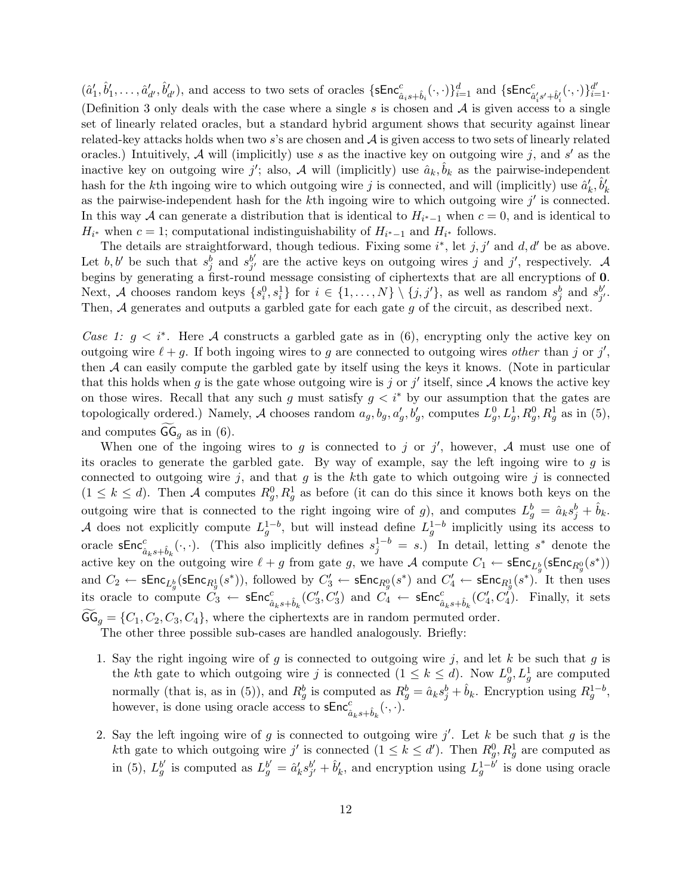$(\hat{a}'_1, \hat{b}'_1, \ldots, \hat{a}'_{d'}, \hat{b}'_{d'})$ , and access to two sets of oracles  $\{\textsf{sEnc}^c_{\hat{a}_i s + \hat{b}_i}(\cdot, \cdot)\}_{i=1}^d$  and  $\{\textsf{sEnc}^c_{\hat{a}'_i s' + \hat{b}'_i}(\cdot, \cdot)\}_{i=1}^d$ . (Definition 3 only deals with the case where a single  $s$  is chosen and  $\mathcal A$  is given access to a single set of linearly related oracles, but a standard hybrid argument shows that security against linear related-key attacks holds when two s's are chosen and  $\mathcal A$  is given access to two sets of linearly related oracles.) Intuitively, A will (implicitly) use s as the inactive key on outgoing wire j, and s' as the inactive key on outgoing wire j'; also, A will (implicitly) use  $\hat{a}_k, \hat{b}_k$  as the pairwise-independent hash for the kth ingoing wire to which outgoing wire j is connected, and will (implicitly) use  $\hat{a}'_k$ ,  $\hat{b}'_k$ as the pairwise-independent hash for the k<sup>th</sup> ingoing wire to which outgoing wire  $j'$  is connected. In this way A can generate a distribution that is identical to  $H_{i^*-1}$  when  $c = 0$ , and is identical to  $H_{i^*}$  when  $c = 1$ ; computational indistinguishability of  $H_{i^*-1}$  and  $H_{i^*}$  follows.

The details are straightforward, though tedious. Fixing some  $i^*$ , let j, j' and d, d' be as above. Let  $b, b'$  be such that  $s_j^{\overline{b}}$  and  $s_{j'}^{b'}$  $j'$  are the active keys on outgoing wires j and j', respectively. A begins by generating a first-round message consisting of ciphertexts that are all encryptions of 0. Next, A chooses random keys  $\{s_i^0, s_i^1\}$  for  $i \in \{1, ..., N\} \setminus \{j, j'\}$ , as well as random  $s_j^b$  and  $s_{j'}^{b'}$ b'<br>j' · Then, A generates and outputs a garbled gate for each gate g of the circuit, as described next.

Case 1:  $g \lt i^*$ . Here A constructs a garbled gate as in (6), encrypting only the active key on outgoing wire  $\ell + g$ . If both ingoing wires to g are connected to outgoing wires other than j or j', then A can easily compute the garbled gate by itself using the keys it knows. (Note in particular that this holds when g is the gate whose outgoing wire is j or j' itself, since  $A$  knows the active key on those wires. Recall that any such g must satisfy  $g < i^*$  by our assumption that the gates are topologically ordered.) Namely, A chooses random  $a_g, b_g, a'_g, b'_g$ , computes  $L_g^0, L_g^1, R_g^0, R_g^1$  as in (5), and computes  $GG_q$  as in (6).

When one of the ingoing wires to g is connected to j or j', however, A must use one of its oracles to generate the garbled gate. By way of example, say the left ingoing wire to  $g$  is connected to outgoing wire  $j$ , and that  $g$  is the kth gate to which outgoing wire  $j$  is connected  $(1 \leq k \leq d)$ . Then A computes  $R_g^0, R_g^1$  as before (it can do this since it knows both keys on the outgoing wire that is connected to the right ingoing wire of g), and computes  $L_g^b = \hat{a}_k s_j^b + \hat{b}_k$ . A does not explicitly compute  $L_g^{1-b}$ , but will instead define  $L_g^{1-b}$  implicitly using its access to oracle  $\mathsf{sEnc}^c_{\hat{a}_k s + \hat{b}_k}(\cdot, \cdot)$ . (This also implicitly defines  $s_j^{1-b} = s$ .) In detail, letting  $s^*$  denote the active key on the outgoing wire  $\ell + g$  from gate g, we have A compute  $C_1 \leftarrow \mathsf{sEnc}_{L^b_g}(\mathsf{sEnc}_{R^0_g}(s^*))$ and  $C_2 \leftarrow \mathsf{sEnc}_{L_g^b}(\mathsf{sEnc}_{R_g^1}(s^*))$ , followed by  $C'_3 \leftarrow \mathsf{sEnc}_{R_g^0}(s^*)$  and  $C'_4 \leftarrow \mathsf{sEnc}_{R_g^1}(s^*)$ . It then uses its oracle to compute  $C_3 \leftarrow \mathsf{sEnc}^c_{\hat{a}_k s + \hat{b}_k}(C'_3, C'_3)$  and  $C_4 \leftarrow \mathsf{sEnc}^c_{\hat{a}_k s + \hat{b}_k}(C'_4, C'_4)$ . Finally, it sets  $GG_g = \{C_1, C_2, C_3, C_4\}$ , where the ciphertexts are in random permuted order.

The other three possible sub-cases are handled analogously. Briefly:

- 1. Say the right ingoing wire of g is connected to outgoing wire j, and let k be such that g is the kth gate to which outgoing wire j is connected  $(1 \leq k \leq d)$ . Now  $L_g^0, L_g^1$  are computed normally (that is, as in (5)), and  $R_g^b$  is computed as  $R_g^b = \hat{a}_k s_j^b + \hat{b}_k$ . Encryption using  $R_g^{1-b}$ , however, is done using oracle access to  $\mathsf{sEnc}^c_{\hat{a}_k s + \hat{b}_k}(\cdot, \cdot)$ .
- 2. Say the left ingoing wire of g is connected to outgoing wire  $j'$ . Let k be such that g is the kth gate to which outgoing wire j' is connected  $(1 \leq k \leq d')$ . Then  $R_g^0, R_g^1$  are computed as in (5),  $L_g^{b'}$  is computed as  $L_g^{b'} = \hat{a}'_k s_{j'}^{b'}$  $\hat{b}'_j + \hat{b}'_k$ , and encryption using  $L_g^{1-\tilde{b}'}$  is done using oracle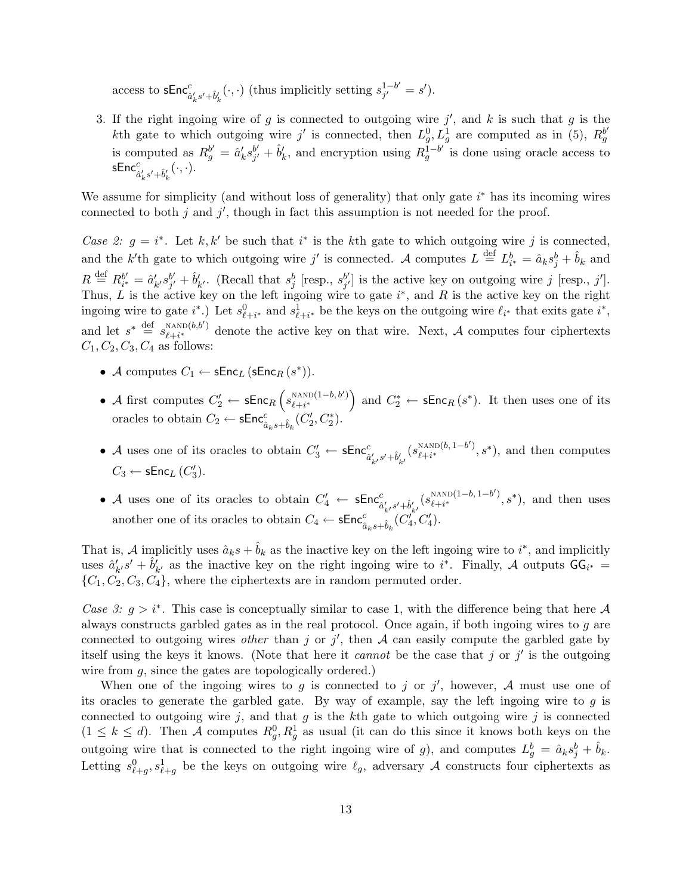access to  $\mathsf{sEnc}^c_{\hat{a}'_k s' + \hat{b}'_k}(\cdot, \cdot)$  (thus implicitly setting  $s_{j'}^{1-b'}$  $j^{1-b'} = s'$ .

3. If the right ingoing wire of g is connected to outgoing wire  $j'$ , and k is such that g is the kth gate to which outgoing wire j' is connected, then  $L_g^0, L_g^1$  are computed as in (5),  $R_g^{b'}$ is computed as  $R_g^{b'} = \hat{a}'_k s_{j'}^{b'}$  $\hat{b}'_j + \hat{b}'_k$ , and encryption using  $R_g^{\overline{1}-b'}$  is done using oracle access to  $\mathsf{sEnc}^c_{\hat{a}'_ks'+\hat{b}'_k}(\cdot,\cdot).$ k k

We assume for simplicity (and without loss of generality) that only gate  $i^*$  has its incoming wires connected to both  $j$  and  $j'$ , though in fact this assumption is not needed for the proof.

Case 2:  $g = i^*$ . Let k, k' be such that i<sup>\*</sup> is the kth gate to which outgoing wire j is connected, and the k'th gate to which outgoing wire j' is connected. A computes  $L \stackrel{\text{def}}{=} L_{i^*}^b = \hat{a}_k s_j^b + \hat{b}_k$  and  $R \stackrel{\text{def}}{=} R_{i^*}^{b'}$  $s_{i^*}^b = \hat{a}'_{k'} s_{j'}^{b'}$  $b'_{j'} + \hat{b}'_{k'}$ . (Recall that  $s^b_j$  [resp.,  $s^{b'}_{j'}$  $j'$  is the active key on outgoing wire j [resp., j']. Thus, L is the active key on the left ingoing wire to gate  $i^*$ , and R is the active key on the right ingoing wire to gate  $i^*$ .) Let  $s_{\ell+i^*}^0$  and  $s_{\ell+i^*}^1$  be the keys on the outgoing wire  $\ell_{i^*}$  that exits gate  $i^*$ , and let  $s^* \stackrel{\text{def}}{=} s_{\ell \perp i^*}^{\text{NAND}(b,b')}$ <sup>NAND(0,0)</sup> denote the active key on that wire. Next, A computes four ciphertexts  $C_1, C_2, C_3, C_4$  as follows:

- A computes  $C_1 \leftarrow \mathsf{sEnc}_L(\mathsf{sEnc}_R(s^*))$ .
- A first computes  $C_2' \leftarrow \mathsf{sEnc}_R$  $\overline{a}$  $s_{\ell+i^*}^{\text{NAND}(1-b,b')}$  $l+i*$ ´ and  $C_2^* \leftarrow \mathsf{sEnc}_R(s^*)$ . It then uses one of its oracles to obtain  $C_2 \leftarrow \mathsf{sEnc}^c_{\hat{a}_k s + \hat{b}_k} (C'_2, C^*_2)$ .
- A uses one of its oracles to obtain  $C'_3 \leftarrow \mathsf{sEnc}^c_{\hat{a}'_{k'}s' + \hat{b}'_{k'}}(s^{\text{NAND}(b, 1-b')}_{\ell+i^*})$  $\binom{NAND(b, 1-b')}{\ell+i^*}$ ,  $s^*$ , and then computes  $C_3 \leftarrow \mathsf{sEnc}_L(C'_3)$ .
- A uses one of its oracles to obtain  $C'_4 \leftarrow \mathsf{sEnc}^c_{\hat{a}'_{k'}s' + \hat{b}'_{k'}}(s^{\text{NAND}(1-b, 1-b')}_{\ell+i^*})$  $\binom{NAND(1-b, 1-b')}{\ell+i^*}, s^*$ , and then uses another one of its oracles to obtain  $C_4 \leftarrow \mathsf{sEnc}^c_{\hat{a}_k s + \hat{b}_k} (C'^{\,\hat{c}}_4, C'_4)$ .

That is, A implicitly uses  $\hat{a}_ks + \hat{b}_k$  as the inactive key on the left ingoing wire to  $i^*$ , and implicitly uses  $\hat{a}'_{k'}s' + \hat{b}'_{k'}$  as the inactive key on the right ingoing wire to i<sup>\*</sup>. Finally, A outputs  $GG_{i^*} =$  $\{C_1, C_2, C_3, C_4\}$ , where the ciphertexts are in random permuted order.

Case 3:  $g > i^*$ . This case is conceptually similar to case 1, with the difference being that here A always constructs garbled gates as in the real protocol. Once again, if both ingoing wires to g are connected to outgoing wires *other* than j or j', then A can easily compute the garbled gate by itself using the keys it knows. (Note that here it *cannot* be the case that j or  $j'$  is the outgoing wire from g, since the gates are topologically ordered.)

When one of the ingoing wires to g is connected to j or j', however, A must use one of its oracles to generate the garbled gate. By way of example, say the left ingoing wire to  $g$  is connected to outgoing wire j, and that g is the kth gate to which outgoing wire j is connected  $(1 \leq k \leq d)$ . Then A computes  $R_g^0, R_g^1$  as usual (it can do this since it knows both keys on the outgoing wire that is connected to the right ingoing wire of g), and computes  $L_g^b = \hat{a}_k s_j^b + \hat{b}_k$ . Letting  $s_{\ell+g}^0, s_{\ell+g}^1$  be the keys on outgoing wire  $\ell_g$ , adversary A constructs four ciphertexts as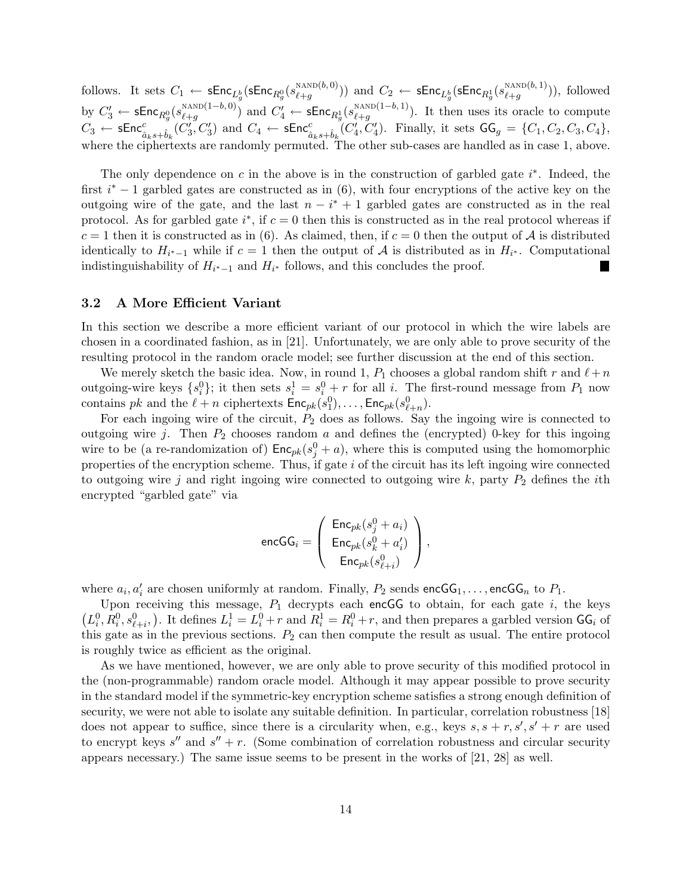follows. It sets  $C_1 \leftarrow \mathsf{sEnc}_{L^b_q}(\mathsf{sEnc}_{R^0_g}(s_{\ell+g}^{\text{NAND}(b,0)}))$  $\frac{\text{NAND}(b,0)}{\ell+g}$ )) and  $C_2 \leftarrow \mathsf{sEnc}_{L^b_q}(\mathsf{sEnc}_{R^1_g}(s_{\ell+g}^{\text{NAND}(b,1)})$  $\binom{NAND(0,1)}{k+g}$ , followed  $\text{by } C'_3 \leftarrow \mathsf{sEnc}_{R^0_g}(s^{\text{\tiny NAND}(1-b,0)}_{\ell+g})$  $\frac{\text{NAND}(1-b,0)}{\ell+g}$  and  $C'_4 \leftarrow \mathsf{sEnc}_{R_g^1}(s_{\ell+g}^{\text{NAND}(1-b,1)})$  $\binom{n \text{NAD}(1-\theta, 1)}{\ell+g}$ . It then uses its oracle to compute  $C_3 \leftarrow \mathsf{sEnc}_{\hat{a}_k s + \hat{b}_k}^c(C_3', C_3')$  and  $C_4 \leftarrow \mathsf{sEnc}_{\hat{a}_k s + \hat{b}_k}^c(C_4', C_4')$ . Finally, it sets  $\mathsf{GG}_g = \{C_1, C_2, C_3, C_4\}$ , where the ciphertexts are randomly permuted. The other sub-cases are handled as in case 1, above.

The only dependence on  $c$  in the above is in the construction of garbled gate  $i^*$ . Indeed, the first  $i^* - 1$  garbled gates are constructed as in (6), with four encryptions of the active key on the outgoing wire of the gate, and the last  $n - i^* + 1$  garbled gates are constructed as in the real protocol. As for garbled gate  $i^*$ , if  $c = 0$  then this is constructed as in the real protocol whereas if  $c = 1$  then it is constructed as in (6). As claimed, then, if  $c = 0$  then the output of A is distributed identically to  $H_{i^*-1}$  while if  $c=1$  then the output of A is distributed as in  $H_{i^*}$ . Computational indistinguishability of  $H_{i^*-1}$  and  $H_{i^*}$  follows, and this concludes the proof.

### 3.2 A More Efficient Variant

In this section we describe a more efficient variant of our protocol in which the wire labels are chosen in a coordinated fashion, as in [21]. Unfortunately, we are only able to prove security of the resulting protocol in the random oracle model; see further discussion at the end of this section.

We merely sketch the basic idea. Now, in round 1,  $P_1$  chooses a global random shift r and  $\ell+n$ outgoing-wire keys  $\{s_i^0\}$ ; it then sets  $s_i^1 = s_i^0 + r$  for all i. The first-round message from  $P_1$  now contains pk and the  $\ell + n$  ciphertexts  $\mathsf{Enc}_{pk}(s_1^0), \ldots, \mathsf{Enc}_{pk}(s_{\ell+n}^0).$ 

For each ingoing wire of the circuit,  $P_2$  does as follows. Say the ingoing wire is connected to outgoing wire j. Then  $P_2$  chooses random a and defines the (encrypted) 0-key for this ingoing wire to be (a re-randomization of)  $\mathsf{Enc}_{pk}(s_j^0 + a)$ , where this is computed using the homomorphic properties of the encryption scheme. Thus, if gate  $i$  of the circuit has its left ingoing wire connected to outgoing wire j and right ingoing wire connected to outgoing wire  $k$ , party  $P_2$  defines the *i*th encrypted "garbled gate" via

$$
\mathrm{encGG}_i = \left( \begin{array}{c} \mathsf{Enc}_{pk}(s_j^0 + a_i) \\ \mathsf{Enc}_{pk}(s_k^0 + a'_i) \\ \mathsf{Enc}_{pk}(s_{\ell+i}^0) \end{array} \right),
$$

where  $a_i, a'_i$  are chosen uniformly at random. Finally,  $P_2$  sends  $\mathsf{encGG}_1, \ldots, \mathsf{encGG}_n$  to  $P_1$ .

Upon receiving this message,  $P_1$  decrypts each encGG to obtain, for each gate i, the keys ¡  $L_i^0, R_i^0, s_{\ell+i}^0$ . It defines  $L_i^1 = L_i^0 + r$  and  $R_i^1 = R_i^0 + r$ , and then prepares a garbled version  $GG_i$  of this gate as in the previous sections.  $P_2$  can then compute the result as usual. The entire protocol is roughly twice as efficient as the original.

As we have mentioned, however, we are only able to prove security of this modified protocol in the (non-programmable) random oracle model. Although it may appear possible to prove security in the standard model if the symmetric-key encryption scheme satisfies a strong enough definition of security, we were not able to isolate any suitable definition. In particular, correlation robustness [18] does not appear to suffice, since there is a circularity when, e.g., keys  $s, s + r, s', s' + r$  are used to encrypt keys  $s''$  and  $s'' + r$ . (Some combination of correlation robustness and circular security appears necessary.) The same issue seems to be present in the works of [21, 28] as well.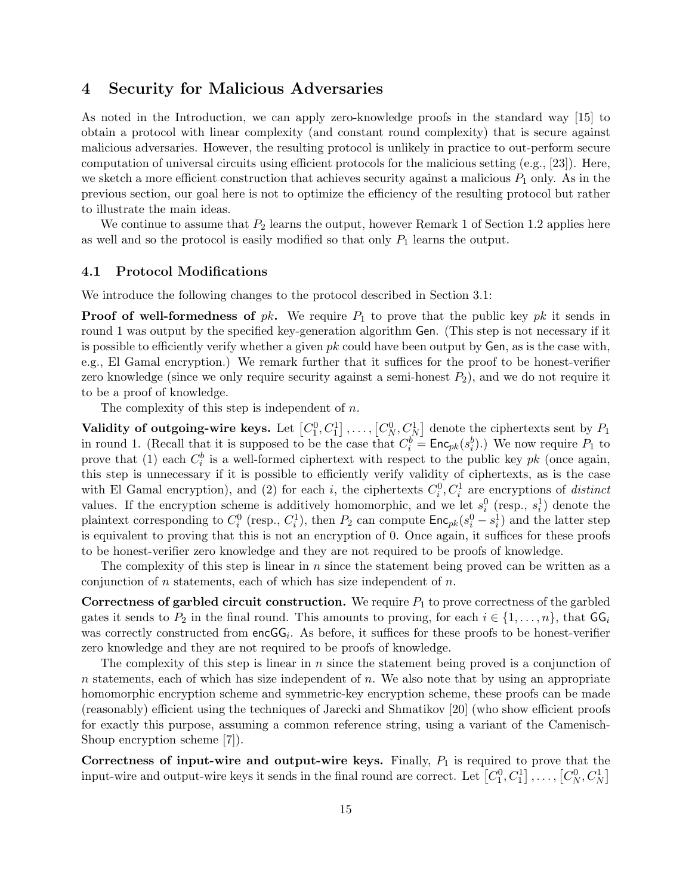# 4 Security for Malicious Adversaries

As noted in the Introduction, we can apply zero-knowledge proofs in the standard way [15] to obtain a protocol with linear complexity (and constant round complexity) that is secure against malicious adversaries. However, the resulting protocol is unlikely in practice to out-perform secure computation of universal circuits using efficient protocols for the malicious setting (e.g., [23]). Here, we sketch a more efficient construction that achieves security against a malicious  $P_1$  only. As in the previous section, our goal here is not to optimize the efficiency of the resulting protocol but rather to illustrate the main ideas.

We continue to assume that  $P_2$  learns the output, however Remark 1 of Section 1.2 applies here as well and so the protocol is easily modified so that only  $P_1$  learns the output.

### 4.1 Protocol Modifications

We introduce the following changes to the protocol described in Section 3.1:

**Proof of well-formedness of**  $pk$ . We require  $P_1$  to prove that the public key  $pk$  it sends in round 1 was output by the specified key-generation algorithm Gen. (This step is not necessary if it is possible to efficiently verify whether a given  $pk$  could have been output by Gen, as is the case with, e.g., El Gamal encryption.) We remark further that it suffices for the proof to be honest-verifier zero knowledge (since we only require security against a semi-honest  $P_2$ ), and we do not require it to be a proof of knowledge.

The complexity of this step is independent of n.

Validity of outgoing-wire keys. Let  $[C_1^0, C_1^1]$  $\big]$ ,...,  $[C_N^0, C_N^1]$ ¤ denote the ciphertexts sent by  $P_1$ in round 1. (Recall that it is supposed to be the case that  $C_i^b = \text{Enc}_{pk}(s_i^b)$ .) We now require  $P_1$  to prove that (1) each  $C_i^b$  is a well-formed ciphertext with respect to the public key pk (once again, this step is unnecessary if it is possible to efficiently verify validity of ciphertexts, as is the case with El Gamal encryption), and (2) for each i, the ciphertexts  $C_i^0, C_i^1$  are encryptions of distinct values. If the encryption scheme is additively homomorphic, and we let  $s_i^0$  (resp.,  $s_i^1$ ) denote the plaintext corresponding to  $C_i^0$  (resp.,  $C_i^1$ ), then  $P_2$  can compute  $\mathsf{Enc}_{pk}(s_i^0 - s_i^1)$  and the latter step is equivalent to proving that this is not an encryption of 0. Once again, it suffices for these proofs to be honest-verifier zero knowledge and they are not required to be proofs of knowledge.

The complexity of this step is linear in n since the statement being proved can be written as a conjunction of  $n$  statements, each of which has size independent of  $n$ .

Correctness of garbled circuit construction. We require  $P_1$  to prove correctness of the garbled gates it sends to  $P_2$  in the final round. This amounts to proving, for each  $i \in \{1, \ldots, n\}$ , that  $GG_i$ was correctly constructed from  $encGG_i$ . As before, it suffices for these proofs to be honest-verifier zero knowledge and they are not required to be proofs of knowledge.

The complexity of this step is linear in  $n$  since the statement being proved is a conjunction of  $n$  statements, each of which has size independent of  $n$ . We also note that by using an appropriate homomorphic encryption scheme and symmetric-key encryption scheme, these proofs can be made (reasonably) efficient using the techniques of Jarecki and Shmatikov [20] (who show efficient proofs for exactly this purpose, assuming a common reference string, using a variant of the Camenisch-Shoup encryption scheme [7]).

Correctness of input-wire and output-wire keys. Finally,  $P_1$  is required to prove that the Correctness of input-wire and output-wire keys. Finally,  $P_1$  is required to prove that the input-wire and output-wire keys it sends in the final round are correct. Let  $[C_1^0, C_1^1], \ldots, [C_N^0, C_N^1]$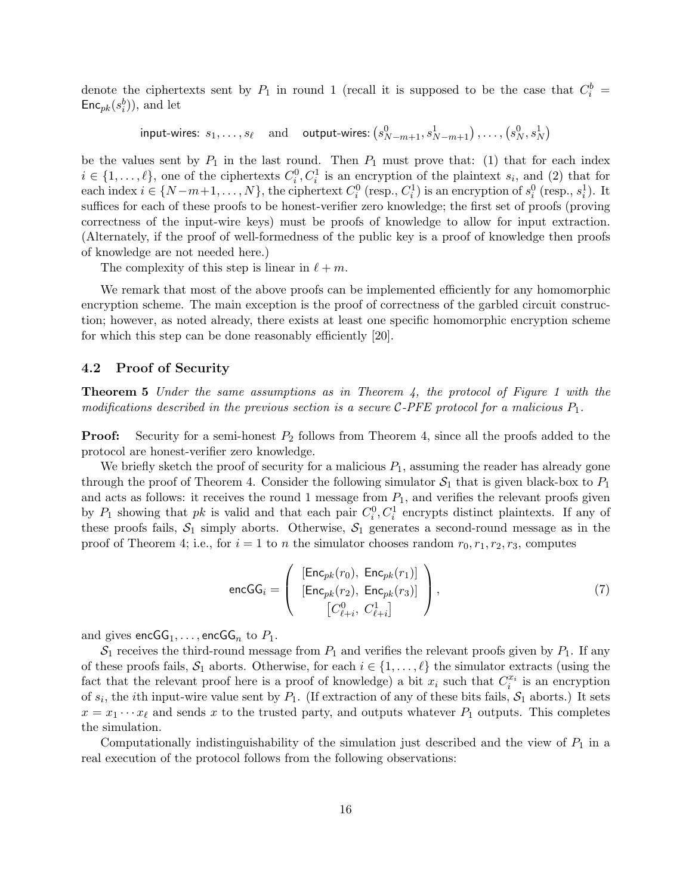denote the ciphertexts sent by  $P_1$  in round 1 (recall it is supposed to be the case that  $C_i^b$  =  $\mathsf{Enc}_{pk}(s_i^b)$ ), and let

> input-wires:  $s_1, \ldots, s_\ell$  and output-wires: ¡  $s_{N-m+1}^0, s_{N-m+1}^1), \ldots, (s_N^0, s_N^1)$ ¢

be the values sent by  $P_1$  in the last round. Then  $P_1$  must prove that: (1) that for each index  $i \in \{1, \ldots, \ell\}$ , one of the ciphertexts  $C_i^0, C_i^1$  is an encryption of the plaintext  $s_i$ , and (2) that for each index  $i \in \{N-m+1,\ldots,N\}$ , the ciphertext  $C_i^0$  (resp.,  $C_i^1$ ) is an encryption of  $s_i^0$  (resp.,  $s_i^1$ ). It suffices for each of these proofs to be honest-verifier zero knowledge; the first set of proofs (proving correctness of the input-wire keys) must be proofs of knowledge to allow for input extraction. (Alternately, if the proof of well-formedness of the public key is a proof of knowledge then proofs of knowledge are not needed here.)

The complexity of this step is linear in  $\ell + m$ .

We remark that most of the above proofs can be implemented efficiently for any homomorphic encryption scheme. The main exception is the proof of correctness of the garbled circuit construction; however, as noted already, there exists at least one specific homomorphic encryption scheme for which this step can be done reasonably efficiently [20].

### 4.2 Proof of Security

**Theorem 5** Under the same assumptions as in Theorem 4, the protocol of Figure 1 with the modifications described in the previous section is a secure C-PFE protocol for a malicious  $P_1$ .

**Proof:** Security for a semi-honest  $P_2$  follows from Theorem 4, since all the proofs added to the protocol are honest-verifier zero knowledge.

We briefly sketch the proof of security for a malicious  $P_1$ , assuming the reader has already gone through the proof of Theorem 4. Consider the following simulator  $S_1$  that is given black-box to  $P_1$ and acts as follows: it receives the round 1 message from  $P_1$ , and verifies the relevant proofs given by  $P_1$  showing that pk is valid and that each pair  $C_i^0, C_i^1$  encrypts distinct plaintexts. If any of these proofs fails,  $S_1$  simply aborts. Otherwise,  $S_1$  generates a second-round message as in the proof of Theorem 4; i.e., for  $i = 1$  to n the simulator chooses random  $r_0, r_1, r_2, r_3$ , computes

$$
\text{encGG}_{i} = \left( \begin{array}{c} [\text{Enc}_{pk}(r_0), \ \text{Enc}_{pk}(r_1)] \\ [\text{Enc}_{pk}(r_2), \ \text{Enc}_{pk}(r_3)] \\ [C_{\ell+i}^0, \ C_{\ell+i}^1 \end{array} \right), \tag{7}
$$

and gives  $encGG_1, \ldots, encGG_n$  to  $P_1$ .

 $S_1$  receives the third-round message from  $P_1$  and verifies the relevant proofs given by  $P_1$ . If any of these proofs fails,  $S_1$  aborts. Otherwise, for each  $i \in \{1, \ldots, \ell\}$  the simulator extracts (using the fact that the relevant proof here is a proof of knowledge) a bit  $x_i$  such that  $C_i^{x_i}$  is an encryption of  $s_i$ , the *i*th input-wire value sent by  $P_1$ . (If extraction of any of these bits fails,  $S_1$  aborts.) It sets  $x = x_1 \cdots x_\ell$  and sends x to the trusted party, and outputs whatever  $P_1$  outputs. This completes the simulation.

Computationally indistinguishability of the simulation just described and the view of  $P_1$  in a real execution of the protocol follows from the following observations: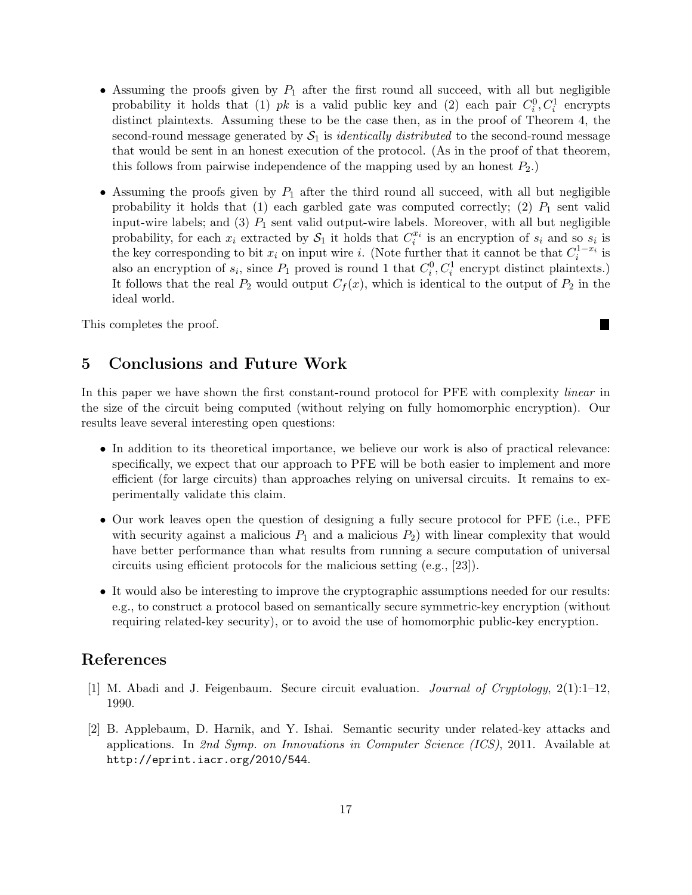- Assuming the proofs given by  $P_1$  after the first round all succeed, with all but negligible probability it holds that (1) pk is a valid public key and (2) each pair  $C_i^0, C_i^1$  encrypts distinct plaintexts. Assuming these to be the case then, as in the proof of Theorem 4, the second-round message generated by  $S_1$  is *identically distributed* to the second-round message that would be sent in an honest execution of the protocol. (As in the proof of that theorem, this follows from pairwise independence of the mapping used by an honest  $P_2$ .
- Assuming the proofs given by  $P_1$  after the third round all succeed, with all but negligible probability it holds that (1) each garbled gate was computed correctly; (2)  $P_1$  sent valid input-wire labels; and (3)  $P_1$  sent valid output-wire labels. Moreover, with all but negligible probability, for each  $x_i$  extracted by  $S_1$  it holds that  $C_i^{x_i}$  is an encryption of  $s_i$  and so  $s_i$  is the key corresponding to bit  $x_i$  on input wire i. (Note further that it cannot be that  $C_i^{1-x_i}$  is also an encryption of  $s_i$ , since  $P_1$  proved is round 1 that  $C_i^0, C_i^1$  encrypt distinct plaintexts.) It follows that the real  $P_2$  would output  $C_f(x)$ , which is identical to the output of  $P_2$  in the ideal world.

п

This completes the proof.

# 5 Conclusions and Future Work

In this paper we have shown the first constant-round protocol for PFE with complexity *linear* in the size of the circuit being computed (without relying on fully homomorphic encryption). Our results leave several interesting open questions:

- In addition to its theoretical importance, we believe our work is also of practical relevance: specifically, we expect that our approach to PFE will be both easier to implement and more efficient (for large circuits) than approaches relying on universal circuits. It remains to experimentally validate this claim.
- Our work leaves open the question of designing a fully secure protocol for PFE (i.e., PFE with security against a malicious  $P_1$  and a malicious  $P_2$ ) with linear complexity that would have better performance than what results from running a secure computation of universal circuits using efficient protocols for the malicious setting (e.g., [23]).
- It would also be interesting to improve the cryptographic assumptions needed for our results: e.g., to construct a protocol based on semantically secure symmetric-key encryption (without requiring related-key security), or to avoid the use of homomorphic public-key encryption.

# References

- [1] M. Abadi and J. Feigenbaum. Secure circuit evaluation. Journal of Cryptology, 2(1):1–12, 1990.
- [2] B. Applebaum, D. Harnik, and Y. Ishai. Semantic security under related-key attacks and applications. In 2nd Symp. on Innovations in Computer Science (ICS), 2011. Available at http://eprint.iacr.org/2010/544.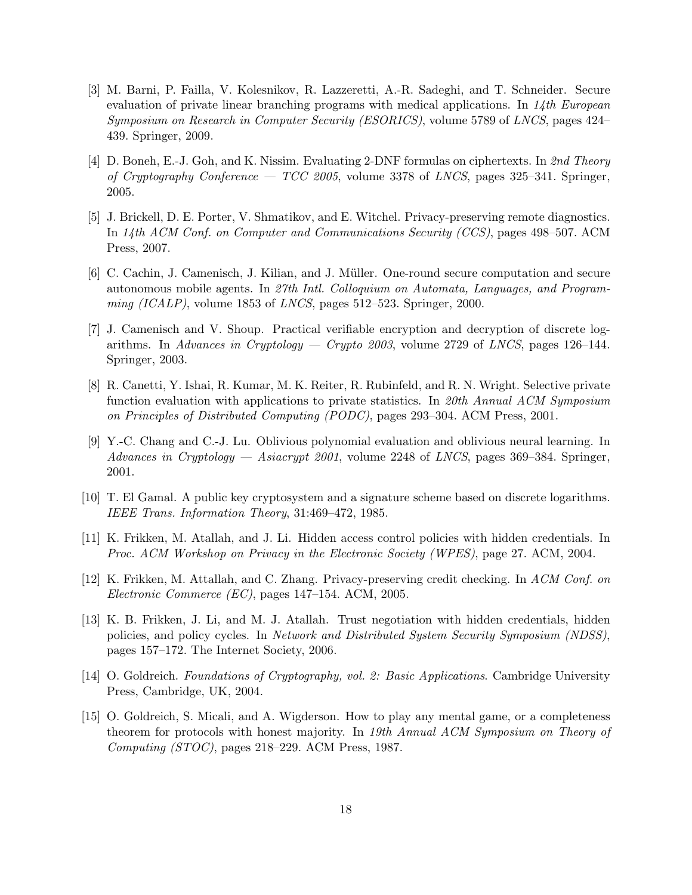- [3] M. Barni, P. Failla, V. Kolesnikov, R. Lazzeretti, A.-R. Sadeghi, and T. Schneider. Secure evaluation of private linear branching programs with medical applications. In  $14$ th European Symposium on Research in Computer Security (ESORICS), volume 5789 of LNCS, pages 424– 439. Springer, 2009.
- [4] D. Boneh, E.-J. Goh, and K. Nissim. Evaluating 2-DNF formulas on ciphertexts. In 2nd Theory of Cryptography Conference — TCC 2005, volume 3378 of LNCS, pages 325–341. Springer, 2005.
- [5] J. Brickell, D. E. Porter, V. Shmatikov, and E. Witchel. Privacy-preserving remote diagnostics. In 14th ACM Conf. on Computer and Communications Security (CCS), pages 498–507. ACM Press, 2007.
- [6] C. Cachin, J. Camenisch, J. Kilian, and J. M¨uller. One-round secure computation and secure autonomous mobile agents. In 27th Intl. Colloquium on Automata, Languages, and Program $ming (ICALP)$ , volume 1853 of *LNCS*, pages 512–523. Springer, 2000.
- [7] J. Camenisch and V. Shoup. Practical verifiable encryption and decryption of discrete logarithms. In Advances in Cryptology — Crypto  $2003$ , volume 2729 of LNCS, pages 126–144. Springer, 2003.
- [8] R. Canetti, Y. Ishai, R. Kumar, M. K. Reiter, R. Rubinfeld, and R. N. Wright. Selective private function evaluation with applications to private statistics. In 20th Annual ACM Symposium on Principles of Distributed Computing (PODC), pages 293–304. ACM Press, 2001.
- [9] Y.-C. Chang and C.-J. Lu. Oblivious polynomial evaluation and oblivious neural learning. In Advances in Cryptology — Asiacrypt 2001, volume 2248 of LNCS, pages 369–384. Springer, 2001.
- [10] T. El Gamal. A public key cryptosystem and a signature scheme based on discrete logarithms. IEEE Trans. Information Theory, 31:469–472, 1985.
- [11] K. Frikken, M. Atallah, and J. Li. Hidden access control policies with hidden credentials. In Proc. ACM Workshop on Privacy in the Electronic Society (WPES), page 27. ACM, 2004.
- [12] K. Frikken, M. Attallah, and C. Zhang. Privacy-preserving credit checking. In ACM Conf. on Electronic Commerce (EC), pages 147–154. ACM, 2005.
- [13] K. B. Frikken, J. Li, and M. J. Atallah. Trust negotiation with hidden credentials, hidden policies, and policy cycles. In Network and Distributed System Security Symposium (NDSS), pages 157–172. The Internet Society, 2006.
- [14] O. Goldreich. Foundations of Cryptography, vol. 2: Basic Applications. Cambridge University Press, Cambridge, UK, 2004.
- [15] O. Goldreich, S. Micali, and A. Wigderson. How to play any mental game, or a completeness theorem for protocols with honest majority. In 19th Annual ACM Symposium on Theory of Computing (STOC), pages 218–229. ACM Press, 1987.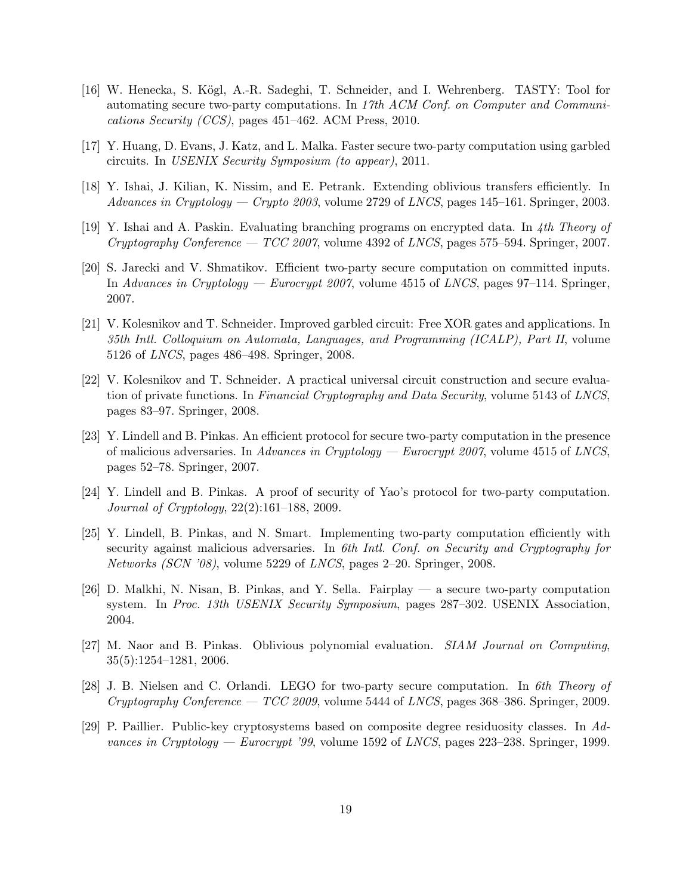- [16] W. Henecka, S. Kögl, A.-R. Sadeghi, T. Schneider, and I. Wehrenberg. TASTY: Tool for automating secure two-party computations. In 17th ACM Conf. on Computer and Communications Security (CCS), pages 451–462. ACM Press, 2010.
- [17] Y. Huang, D. Evans, J. Katz, and L. Malka. Faster secure two-party computation using garbled circuits. In USENIX Security Symposium (to appear), 2011.
- [18] Y. Ishai, J. Kilian, K. Nissim, and E. Petrank. Extending oblivious transfers efficiently. In Advances in Cryptology — Crypto 2003, volume 2729 of LNCS, pages 145–161. Springer, 2003.
- [19] Y. Ishai and A. Paskin. Evaluating branching programs on encrypted data. In 4th Theory of Cryptography Conference — TCC 2007, volume 4392 of LNCS, pages 575–594. Springer, 2007.
- [20] S. Jarecki and V. Shmatikov. Efficient two-party secure computation on committed inputs. In Advances in Cryptology — Eurocrypt 2007, volume 4515 of LNCS, pages 97–114. Springer, 2007.
- [21] V. Kolesnikov and T. Schneider. Improved garbled circuit: Free XOR gates and applications. In 35th Intl. Colloquium on Automata, Languages, and Programming (ICALP), Part II, volume 5126 of LNCS, pages 486–498. Springer, 2008.
- [22] V. Kolesnikov and T. Schneider. A practical universal circuit construction and secure evaluation of private functions. In Financial Cryptography and Data Security, volume 5143 of LNCS, pages 83–97. Springer, 2008.
- [23] Y. Lindell and B. Pinkas. An efficient protocol for secure two-party computation in the presence of malicious adversaries. In Advances in Cryptology — Eurocrypt 2007, volume 4515 of LNCS, pages 52–78. Springer, 2007.
- [24] Y. Lindell and B. Pinkas. A proof of security of Yao's protocol for two-party computation. Journal of Cryptology, 22(2):161–188, 2009.
- [25] Y. Lindell, B. Pinkas, and N. Smart. Implementing two-party computation efficiently with security against malicious adversaries. In 6th Intl. Conf. on Security and Cryptography for Networks (SCN '08), volume 5229 of LNCS, pages 2–20. Springer, 2008.
- [26] D. Malkhi, N. Nisan, B. Pinkas, and Y. Sella. Fairplay a secure two-party computation system. In Proc. 13th USENIX Security Symposium, pages 287–302. USENIX Association, 2004.
- [27] M. Naor and B. Pinkas. Oblivious polynomial evaluation. SIAM Journal on Computing, 35(5):1254–1281, 2006.
- [28] J. B. Nielsen and C. Orlandi. LEGO for two-party secure computation. In 6th Theory of Cryptography Conference —  $TCC$  2009, volume 5444 of LNCS, pages 368–386. Springer, 2009.
- [29] P. Paillier. Public-key cryptosystems based on composite degree residuosity classes. In Advances in Cryptology — Eurocrypt '99, volume 1592 of LNCS, pages  $223-238$ . Springer, 1999.